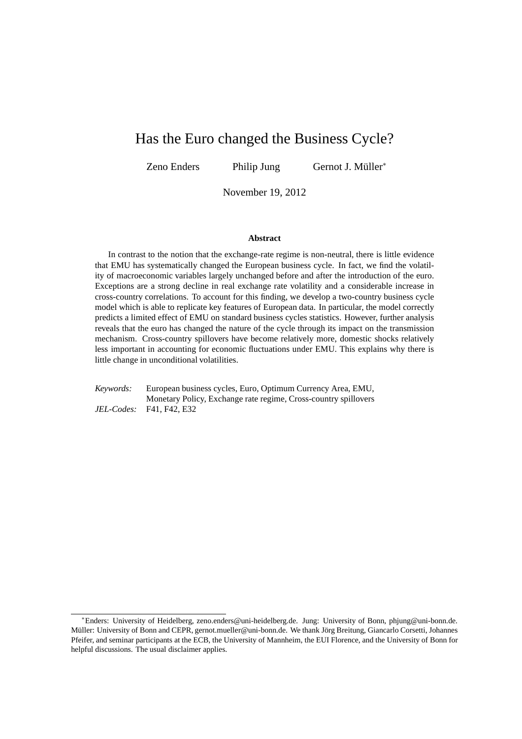# Has the Euro changed the Business Cycle?

Zeno Enders Philip Jung Gernot J. Müller<sup>∗</sup>

November 19, 2012

#### **Abstract**

In contrast to the notion that the exchange-rate regime is non-neutral, there is little evidence that EMU has systematically changed the European business cycle. In fact, we find the volatility of macroeconomic variables largely unchanged before and after the introduction of the euro. Exceptions are a strong decline in real exchange rate volatility and a considerable increase in cross-country correlations. To account for this finding, we develop a two-country business cycle model which is able to replicate key features of European data. In particular, the model correctly predicts a limited effect of EMU on standard business cycles statistics. However, further analysis reveals that the euro has changed the nature of the cycle through its impact on the transmission mechanism. Cross-country spillovers have become relatively more, domestic shocks relatively less important in accounting for economic fluctuations under EMU. This explains why there is little change in unconditional volatilities.

*Keywords:* European business cycles, Euro, Optimum Currency Area, EMU, Monetary Policy, Exchange rate regime, Cross-country spillovers *JEL-Codes:* F41, F42, E32

<sup>∗</sup>Enders: University of Heidelberg, zeno.enders@uni-heidelberg.de. Jung: University of Bonn, phjung@uni-bonn.de. Müller: University of Bonn and CEPR, gernot.mueller@uni-bonn.de. We thank Jörg Breitung, Giancarlo Corsetti, Johannes Pfeifer, and seminar participants at the ECB, the University of Mannheim, the EUI Florence, and the University of Bonn for helpful discussions. The usual disclaimer applies.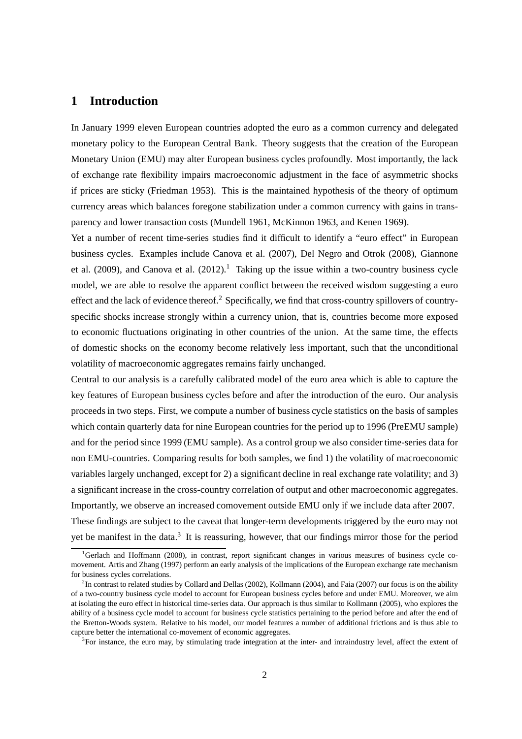# **1 Introduction**

In January 1999 eleven European countries adopted the euro as a common currency and delegated monetary policy to the European Central Bank. Theory suggests that the creation of the European Monetary Union (EMU) may alter European business cycles profoundly. Most importantly, the lack of exchange rate flexibility impairs macroeconomic adjustment in the face of asymmetric shocks if prices are sticky (Friedman 1953). This is the maintained hypothesis of the theory of optimum currency areas which balances foregone stabilization under a common currency with gains in transparency and lower transaction costs (Mundell 1961, McKinnon 1963, and Kenen 1969).

Yet a number of recent time-series studies find it difficult to identify a "euro effect" in European business cycles. Examples include Canova et al. (2007), Del Negro and Otrok (2008), Giannone et al. (2009), and Canova et al. (2012).<sup>1</sup> Taking up the issue within a two-country business cycle model, we are able to resolve the apparent conflict between the received wisdom suggesting a euro effect and the lack of evidence thereof.<sup>2</sup> Specifically, we find that cross-country spillovers of countryspecific shocks increase strongly within a currency union, that is, countries become more exposed to economic fluctuations originating in other countries of the union. At the same time, the effects of domestic shocks on the economy become relatively less important, such that the unconditional volatility of macroeconomic aggregates remains fairly unchanged.

Central to our analysis is a carefully calibrated model of the euro area which is able to capture the key features of European business cycles before and after the introduction of the euro. Our analysis proceeds in two steps. First, we compute a number of business cycle statistics on the basis of samples which contain quarterly data for nine European countries for the period up to 1996 (PreEMU sample) and for the period since 1999 (EMU sample). As a control group we also consider time-series data for non EMU-countries. Comparing results for both samples, we find 1) the volatility of macroeconomic variables largely unchanged, except for 2) a significant decline in real exchange rate volatility; and 3) a significant increase in the cross-country correlation of output and other macroeconomic aggregates. Importantly, we observe an increased comovement outside EMU only if we include data after 2007. These findings are subject to the caveat that longer-term developments triggered by the euro may not yet be manifest in the data.<sup>3</sup> It is reassuring, however, that our findings mirror those for the period

<sup>&</sup>lt;sup>1</sup>Gerlach and Hoffmann (2008), in contrast, report significant changes in various measures of business cycle comovement. Artis and Zhang (1997) perform an early analysis of the implications of the European exchange rate mechanism for business cycles correlations.

<sup>&</sup>lt;sup>2</sup>In contrast to related studies by Collard and Dellas (2002), Kollmann (2004), and Faia (2007) our focus is on the ability of a two-country business cycle model to account for European business cycles before and under EMU. Moreover, we aim at isolating the euro effect in historical time-series data. Our approach is thus similar to Kollmann (2005), who explores the ability of a business cycle model to account for business cycle statistics pertaining to the period before and after the end of the Bretton-Woods system. Relative to his model, our model features a number of additional frictions and is thus able to capture better the international co-movement of economic aggregates.

<sup>&</sup>lt;sup>3</sup>For instance, the euro may, by stimulating trade integration at the inter- and intraindustry level, affect the extent of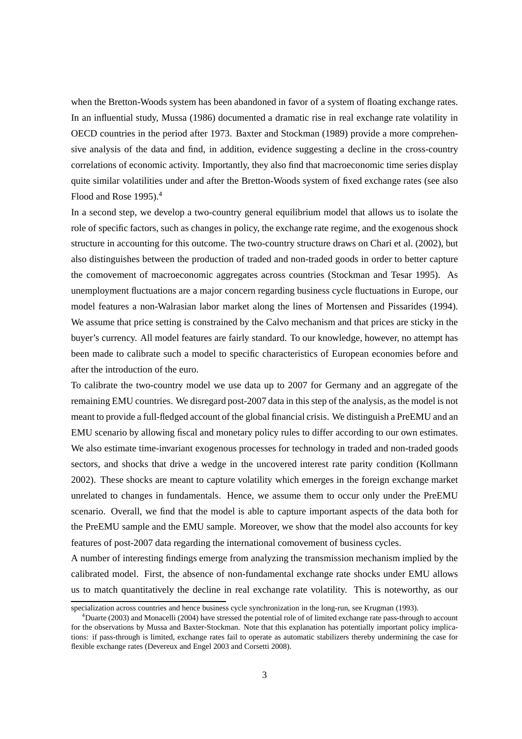when the Bretton-Woods system has been abandoned in favor of a system of floating exchange rates. In an influential study, Mussa (1986) documented a dramatic rise in real exchange rate volatility in OECD countries in the period after 1973. Baxter and Stockman (1989) provide a more comprehensive analysis of the data and find, in addition, evidence suggesting a decline in the cross-country correlations of economic activity. Importantly, they also find that macroeconomic time series display quite similar volatilities under and after the Bretton-Woods system of fixed exchange rates (see also Flood and Rose 1995).<sup>4</sup>

In a second step, we develop a two-country general equilibrium model that allows us to isolate the role of specific factors, such as changes in policy, the exchange rate regime, and the exogenous shock structure in accounting for this outcome. The two-country structure draws on Chari et al. (2002), but also distinguishes between the production of traded and non-traded goods in order to better capture the comovement of macroeconomic aggregates across countries (Stockman and Tesar 1995). As unemployment fluctuations are a major concern regarding business cycle fluctuations in Europe, our model features a non-Walrasian labor market along the lines of Mortensen and Pissarides (1994). We assume that price setting is constrained by the Calvo mechanism and that prices are sticky in the buyer's currency. All model features are fairly standard. To our knowledge, however, no attempt has been made to calibrate such a model to specific characteristics of European economies before and after the introduction of the euro.

To calibrate the two-country model we use data up to 2007 for Germany and an aggregate of the remaining EMU countries. We disregard post-2007 data in this step of the analysis, as the model is not meant to provide a full-fledged account of the global financial crisis. We distinguish a PreEMU and an EMU scenario by allowing fiscal and monetary policy rules to differ according to our own estimates. We also estimate time-invariant exogenous processes for technology in traded and non-traded goods sectors, and shocks that drive a wedge in the uncovered interest rate parity condition (Kollmann 2002). These shocks are meant to capture volatility which emerges in the foreign exchange market unrelated to changes in fundamentals. Hence, we assume them to occur only under the PreEMU scenario. Overall, we find that the model is able to capture important aspects of the data both for the PreEMU sample and the EMU sample. Moreover, we show that the model also accounts for key features of post-2007 data regarding the international comovement of business cycles.

A number of interesting findings emerge from analyzing the transmission mechanism implied by the calibrated model. First, the absence of non-fundamental exchange rate shocks under EMU allows us to match quantitatively the decline in real exchange rate volatility. This is noteworthy, as our

specialization across countries and hence business cycle synchronization in the long-run, see Krugman (1993).

<sup>4</sup>Duarte (2003) and Monacelli (2004) have stressed the potential role of of limited exchange rate pass-through to account for the observations by Mussa and Baxter-Stockman. Note that this explanation has potentially important policy implications: if pass-through is limited, exchange rates fail to operate as automatic stabilizers thereby undermining the case for flexible exchange rates (Devereux and Engel 2003 and Corsetti 2008).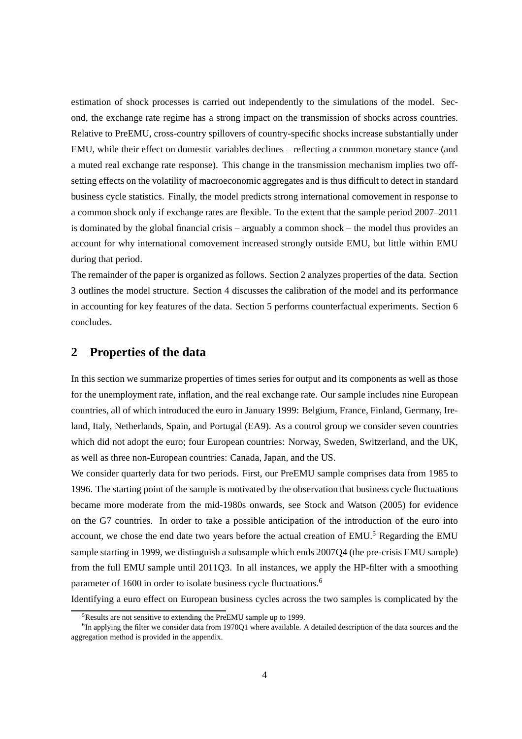estimation of shock processes is carried out independently to the simulations of the model. Second, the exchange rate regime has a strong impact on the transmission of shocks across countries. Relative to PreEMU, cross-country spillovers of country-specific shocks increase substantially under EMU, while their effect on domestic variables declines – reflecting a common monetary stance (and a muted real exchange rate response). This change in the transmission mechanism implies two offsetting effects on the volatility of macroeconomic aggregates and is thus difficult to detect in standard business cycle statistics. Finally, the model predicts strong international comovement in response to a common shock only if exchange rates are flexible. To the extent that the sample period 2007–2011 is dominated by the global financial crisis – arguably a common shock – the model thus provides an account for why international comovement increased strongly outside EMU, but little within EMU during that period.

The remainder of the paper is organized as follows. Section 2 analyzes properties of the data. Section 3 outlines the model structure. Section 4 discusses the calibration of the model and its performance in accounting for key features of the data. Section 5 performs counterfactual experiments. Section 6 concludes.

# **2 Properties of the data**

In this section we summarize properties of times series for output and its components as well as those for the unemployment rate, inflation, and the real exchange rate. Our sample includes nine European countries, all of which introduced the euro in January 1999: Belgium, France, Finland, Germany, Ireland, Italy, Netherlands, Spain, and Portugal (EA9). As a control group we consider seven countries which did not adopt the euro; four European countries: Norway, Sweden, Switzerland, and the UK, as well as three non-European countries: Canada, Japan, and the US.

We consider quarterly data for two periods. First, our PreEMU sample comprises data from 1985 to 1996. The starting point of the sample is motivated by the observation that business cycle fluctuations became more moderate from the mid-1980s onwards, see Stock and Watson (2005) for evidence on the G7 countries. In order to take a possible anticipation of the introduction of the euro into account, we chose the end date two years before the actual creation of  $EMU$ <sup>5</sup>. Regarding the EMU sample starting in 1999, we distinguish a subsample which ends 2007Q4 (the pre-crisis EMU sample) from the full EMU sample until 2011Q3. In all instances, we apply the HP-filter with a smoothing parameter of 1600 in order to isolate business cycle fluctuations.<sup>6</sup>

Identifying a euro effect on European business cycles across the two samples is complicated by the

 $5$ Results are not sensitive to extending the PreEMU sample up to 1999.

<sup>&</sup>lt;sup>6</sup>In applying the filter we consider data from 1970Q1 where available. A detailed description of the data sources and the aggregation method is provided in the appendix.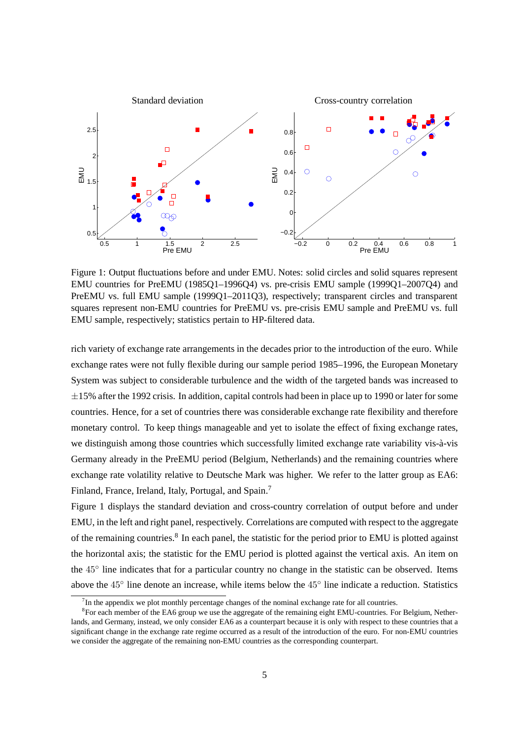

Figure 1: Output fluctuations before and under EMU. Notes: solid circles and solid squares represent EMU countries for PreEMU (1985Q1–1996Q4) vs. pre-crisis EMU sample (1999Q1–2007Q4) and PreEMU vs. full EMU sample (1999Q1–2011Q3), respectively; transparent circles and transparent squares represent non-EMU countries for PreEMU vs. pre-crisis EMU sample and PreEMU vs. full EMU sample, respectively; statistics pertain to HP-filtered data.

rich variety of exchange rate arrangements in the decades prior to the introduction of the euro. While exchange rates were not fully flexible during our sample period 1985–1996, the European Monetary System was subject to considerable turbulence and the width of the targeted bands was increased to  $\pm 15\%$  after the 1992 crisis. In addition, capital controls had been in place up to 1990 or later for some countries. Hence, for a set of countries there was considerable exchange rate flexibility and therefore monetary control. To keep things manageable and yet to isolate the effect of fixing exchange rates, we distinguish among those countries which successfully limited exchange rate variability vis- $\dot{a}$ -vis Germany already in the PreEMU period (Belgium, Netherlands) and the remaining countries where exchange rate volatility relative to Deutsche Mark was higher. We refer to the latter group as EA6: Finland, France, Ireland, Italy, Portugal, and Spain.<sup>7</sup>

Figure 1 displays the standard deviation and cross-country correlation of output before and under EMU, in the left and right panel, respectively. Correlations are computed with respect to the aggregate of the remaining countries.<sup>8</sup> In each panel, the statistic for the period prior to EMU is plotted against the horizontal axis; the statistic for the EMU period is plotted against the vertical axis. An item on the 45<sup>°</sup> line indicates that for a particular country no change in the statistic can be observed. Items above the 45◦ line denote an increase, while items below the 45◦ line indicate a reduction. Statistics

 $7$ In the appendix we plot monthly percentage changes of the nominal exchange rate for all countries.

<sup>&</sup>lt;sup>8</sup>For each member of the EA6 group we use the aggregate of the remaining eight EMU-countries. For Belgium, Netherlands, and Germany, instead, we only consider EA6 as a counterpart because it is only with respect to these countries that a significant change in the exchange rate regime occurred as a result of the introduction of the euro. For non-EMU countries we consider the aggregate of the remaining non-EMU countries as the corresponding counterpart.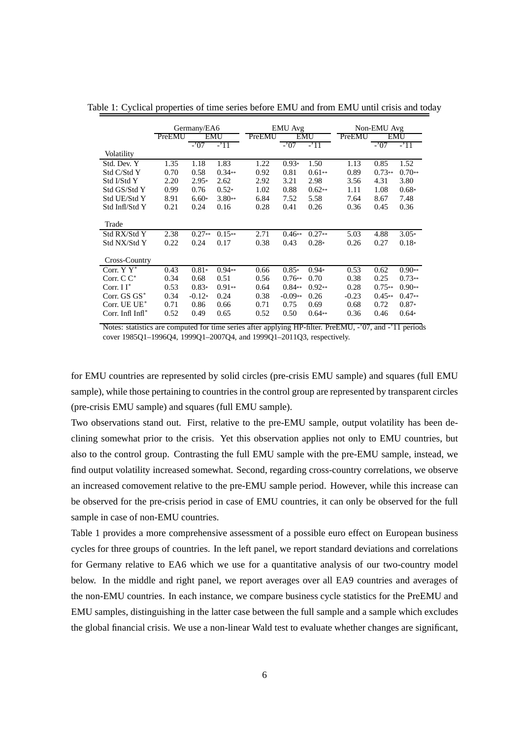|                              | Germany/EA6 |          |            |        | <b>EMU</b> Avg |          | Non-EMU Avg |          |          |  |
|------------------------------|-------------|----------|------------|--------|----------------|----------|-------------|----------|----------|--|
|                              | PreEMU      |          | <b>EMU</b> | PreEMU |                | EMU      | PreEMU      |          | EMU      |  |
|                              |             | $-07$    | -'11       |        | $-107$         | -'11     |             | $-07$    | -'11     |  |
| Volatility                   |             |          |            |        |                |          |             |          |          |  |
| Std. Dev. Y                  | 1.35        | 1.18     | 1.83       | 1.22   | $0.93*$        | 1.50     | 1.13        | 0.85     | 1.52     |  |
| Std C/Std Y                  | 0.70        | 0.58     | $0.34**$   | 0.92   | 0.81           | $0.61**$ | 0.89        | $0.73**$ | $0.70**$ |  |
| Std I/Std Y                  | 2.20        | $2.95*$  | 2.62       | 2.92   | 3.21           | 2.98     | 3.56        | 4.31     | 3.80     |  |
| Std GS/Std Y                 | 0.99        | 0.76     | $0.52*$    | 1.02   | 0.88           | $0.62**$ | 1.11        | 1.08     | $0.68*$  |  |
| Std UE/Std Y                 | 8.91        | $6.60*$  | $3.80**$   | 6.84   | 7.52           | 5.58     | 7.64        | 8.67     | 7.48     |  |
| Std Infl/Std Y               | 0.21        | 0.24     | 0.16       | 0.28   | 0.41           | 0.26     | 0.36        | 0.45     | 0.36     |  |
|                              |             |          |            |        |                |          |             |          |          |  |
| Trade                        |             |          |            |        |                |          |             |          |          |  |
| Std RX/Std Y                 | 2.38        | $0.27**$ | $0.15**$   | 2.71   | $0.46**$       | $0.27**$ | 5.03        | 4.88     | $3.05*$  |  |
| Std NX/Std Y                 | 0.22        | 0.24     | 0.17       | 0.38   | 0.43           | $0.28*$  | 0.26        | 0.27     | $0.18*$  |  |
|                              |             |          |            |        |                |          |             |          |          |  |
| Cross-Country                |             |          |            |        |                |          |             |          |          |  |
| Corr. Y Y*                   | 0.43        | $0.81*$  | $0.94**$   | 0.66   | $0.85*$        | $0.94*$  | 0.53        | 0.62     | $0.90**$ |  |
| Corr. $C C^*$                | 0.34        | 0.68     | 0.51       | 0.56   | $0.76**$       | 0.70     | 0.38        | 0.25     | $0.73**$ |  |
| Corr. $II^*$                 | 0.53        | $0.83*$  | $0.91**$   | 0.64   | $0.84**$       | $0.92**$ | 0.28        | $0.75**$ | $0.90**$ |  |
| Corr. $GS$ $GS^*$            | 0.34        | $-0.12*$ | 0.24       | 0.38   | $-0.09**$      | 0.26     | $-0.23$     | $0.45**$ | $0.47**$ |  |
| Corr. UE UE*                 | 0.71        | 0.86     | 0.66       | 0.71   | 0.75           | 0.69     | 0.68        | 0.72     | $0.87*$  |  |
| Corr. Infl Infl <sup>*</sup> | 0.52        | 0.49     | 0.65       | 0.52   | 0.50           | $0.64**$ | 0.36        | 0.46     | $0.64*$  |  |

Table 1: Cyclical properties of time series before EMU and from EMU until crisis and today

Notes: statistics are computed for time series after applying HP-filter. PreEMU, -'07, and -'11 periods cover 1985Q1–1996Q4, 1999Q1–2007Q4, and 1999Q1–2011Q3, respectively.

for EMU countries are represented by solid circles (pre-crisis EMU sample) and squares (full EMU sample), while those pertaining to countries in the control group are represented by transparent circles (pre-crisis EMU sample) and squares (full EMU sample).

Two observations stand out. First, relative to the pre-EMU sample, output volatility has been declining somewhat prior to the crisis. Yet this observation applies not only to EMU countries, but also to the control group. Contrasting the full EMU sample with the pre-EMU sample, instead, we find output volatility increased somewhat. Second, regarding cross-country correlations, we observe an increased comovement relative to the pre-EMU sample period. However, while this increase can be observed for the pre-crisis period in case of EMU countries, it can only be observed for the full sample in case of non-EMU countries.

Table 1 provides a more comprehensive assessment of a possible euro effect on European business cycles for three groups of countries. In the left panel, we report standard deviations and correlations for Germany relative to EA6 which we use for a quantitative analysis of our two-country model below. In the middle and right panel, we report averages over all EA9 countries and averages of the non-EMU countries. In each instance, we compare business cycle statistics for the PreEMU and EMU samples, distinguishing in the latter case between the full sample and a sample which excludes the global financial crisis. We use a non-linear Wald test to evaluate whether changes are significant,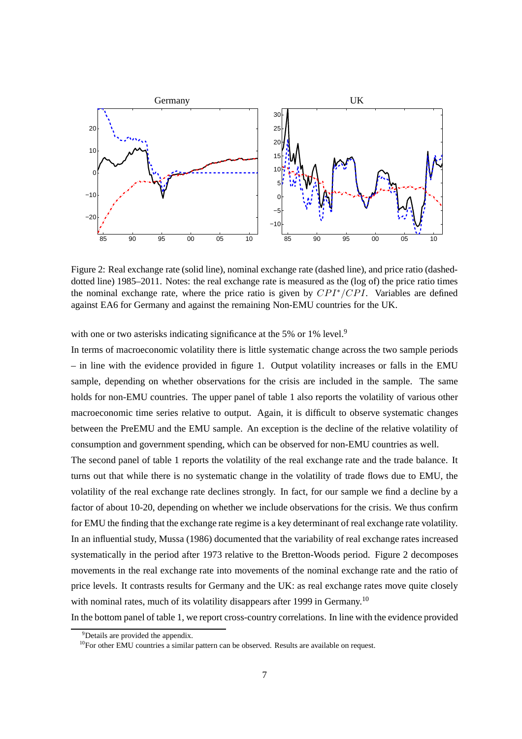

Figure 2: Real exchange rate (solid line), nominal exchange rate (dashed line), and price ratio (dasheddotted line) 1985–2011. Notes: the real exchange rate is measured as the (log of) the price ratio times the nominal exchange rate, where the price ratio is given by  $\mathbb{CP}I^*/\mathbb{CP}I$ . Variables are defined against EA6 for Germany and against the remaining Non-EMU countries for the UK.

with one or two asterisks indicating significance at the 5% or 1% level.<sup>9</sup>

In terms of macroeconomic volatility there is little systematic change across the two sample periods – in line with the evidence provided in figure 1. Output volatility increases or falls in the EMU sample, depending on whether observations for the crisis are included in the sample. The same holds for non-EMU countries. The upper panel of table 1 also reports the volatility of various other macroeconomic time series relative to output. Again, it is difficult to observe systematic changes between the PreEMU and the EMU sample. An exception is the decline of the relative volatility of consumption and government spending, which can be observed for non-EMU countries as well.

The second panel of table 1 reports the volatility of the real exchange rate and the trade balance. It turns out that while there is no systematic change in the volatility of trade flows due to EMU, the volatility of the real exchange rate declines strongly. In fact, for our sample we find a decline by a factor of about 10-20, depending on whether we include observations for the crisis. We thus confirm for EMU the finding that the exchange rate regime is a key determinant of real exchange rate volatility. In an influential study, Mussa (1986) documented that the variability of real exchange rates increased systematically in the period after 1973 relative to the Bretton-Woods period. Figure 2 decomposes movements in the real exchange rate into movements of the nominal exchange rate and the ratio of price levels. It contrasts results for Germany and the UK: as real exchange rates move quite closely with nominal rates, much of its volatility disappears after 1999 in Germany.<sup>10</sup>

In the bottom panel of table 1, we report cross-country correlations. In line with the evidence provided

<sup>&</sup>lt;sup>9</sup>Details are provided the appendix.

 $10$ For other EMU countries a similar pattern can be observed. Results are available on request.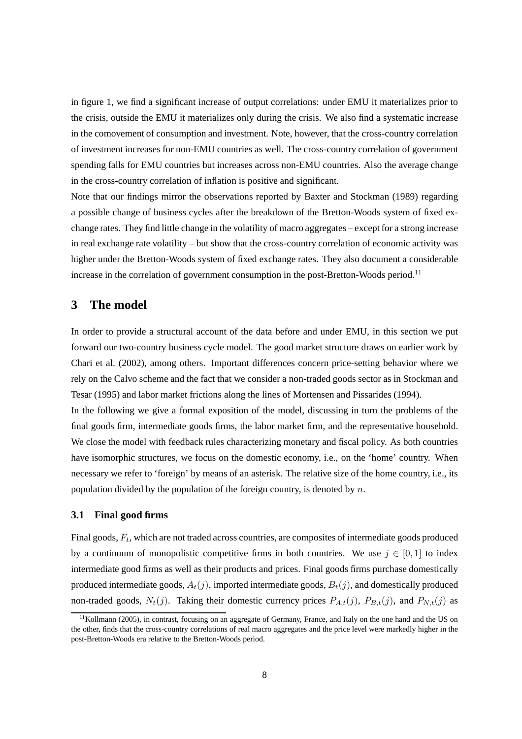in figure 1, we find a significant increase of output correlations: under EMU it materializes prior to the crisis, outside the EMU it materializes only during the crisis. We also find a systematic increase in the comovement of consumption and investment. Note, however, that the cross-country correlation of investment increases for non-EMU countries as well. The cross-country correlation of government spending falls for EMU countries but increases across non-EMU countries. Also the average change in the cross-country correlation of inflation is positive and significant.

Note that our findings mirror the observations reported by Baxter and Stockman (1989) regarding a possible change of business cycles after the breakdown of the Bretton-Woods system of fixed exchange rates. They find little change in the volatility of macro aggregates – except for a strong increase in real exchange rate volatility – but show that the cross-country correlation of economic activity was higher under the Bretton-Woods system of fixed exchange rates. They also document a considerable increase in the correlation of government consumption in the post-Bretton-Woods period.<sup>11</sup>

# **3 The model**

In order to provide a structural account of the data before and under EMU, in this section we put forward our two-country business cycle model. The good market structure draws on earlier work by Chari et al. (2002), among others. Important differences concern price-setting behavior where we rely on the Calvo scheme and the fact that we consider a non-traded goods sector as in Stockman and Tesar (1995) and labor market frictions along the lines of Mortensen and Pissarides (1994).

In the following we give a formal exposition of the model, discussing in turn the problems of the final goods firm, intermediate goods firms, the labor market firm, and the representative household. We close the model with feedback rules characterizing monetary and fiscal policy. As both countries have isomorphic structures, we focus on the domestic economy, i.e., on the 'home' country. When necessary we refer to 'foreign' by means of an asterisk. The relative size of the home country, i.e., its population divided by the population of the foreign country, is denoted by  $n$ .

## **3.1 Final good firms**

Final goods,  $F_t$ , which are not traded across countries, are composites of intermediate goods produced by a continuum of monopolistic competitive firms in both countries. We use  $j \in [0, 1]$  to index intermediate good firms as well as their products and prices. Final goods firms purchase domestically produced intermediate goods,  $A_t(j)$ , imported intermediate goods,  $B_t(j)$ , and domestically produced non-traded goods,  $N_t(j)$ . Taking their domestic currency prices  $P_{A,t}(j)$ ,  $P_{B,t}(j)$ , and  $P_{N,t}(j)$  as

<sup>&</sup>lt;sup>11</sup>Kollmann (2005), in contrast, focusing on an aggregate of Germany, France, and Italy on the one hand and the US on the other, finds that the cross-country correlations of real macro aggregates and the price level were markedly higher in the post-Bretton-Woods era relative to the Bretton-Woods period.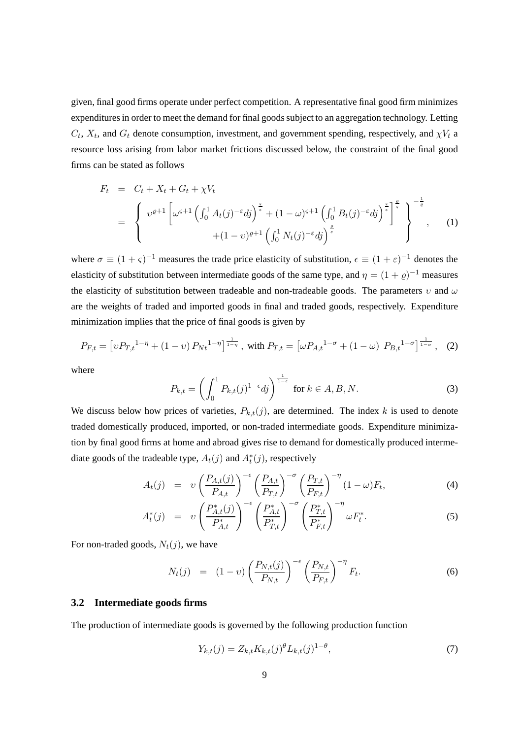given, final good firms operate under perfect competition. A representative final good firm minimizes expenditures in order to meet the demand for final goods subject to an aggregation technology. Letting  $C_t$ ,  $X_t$ , and  $G_t$  denote consumption, investment, and government spending, respectively, and  $\chi V_t$  a resource loss arising from labor market frictions discussed below, the constraint of the final good firms can be stated as follows

$$
F_t = C_t + X_t + G_t + \chi V_t
$$
  
= 
$$
\begin{cases} v^{\varrho+1} \left[ \omega^{s+1} \left( \int_0^1 A_t(j)^{-\varepsilon} dj \right)^{\frac{s}{\varepsilon}} + (1 - \omega)^{s+1} \left( \int_0^1 B_t(j)^{-\varepsilon} dj \right)^{\frac{s}{\varepsilon}} \right]^{\frac{\varrho}{\varepsilon}} \\ + (1 - v)^{\varrho+1} \left( \int_0^1 N_t(j)^{-\varepsilon} dj \right)^{\frac{\varrho}{\varepsilon}} \end{cases}
$$
 (1)

where  $\sigma \equiv (1 + \varsigma)^{-1}$  measures the trade price elasticity of substitution,  $\epsilon \equiv (1 + \varepsilon)^{-1}$  denotes the elasticity of substitution between intermediate goods of the same type, and  $\eta = (1 + \varrho)^{-1}$  measures the elasticity of substitution between tradeable and non-tradeable goods. The parameters  $v$  and  $\omega$ are the weights of traded and imported goods in final and traded goods, respectively. Expenditure minimization implies that the price of final goods is given by

$$
P_{F,t} = \left[ v P_{T,t}^{1-\eta} + (1-v) P_{Nt}^{1-\eta} \right]^{\frac{1}{1-\eta}}, \text{ with } P_{T,t} = \left[ \omega P_{A,t}^{1-\sigma} + (1-\omega) P_{B,t}^{1-\sigma} \right]^{\frac{1}{1-\sigma}}, \quad (2)
$$

where

$$
P_{k,t} = \left(\int_0^1 P_{k,t}(j)^{1-\epsilon} dj\right)^{\frac{1}{1-\epsilon}} \text{ for } k \in A, B, N. \tag{3}
$$

We discuss below how prices of varieties,  $P_{k,t}(j)$ , are determined. The index k is used to denote traded domestically produced, imported, or non-traded intermediate goods. Expenditure minimization by final good firms at home and abroad gives rise to demand for domestically produced intermediate goods of the tradeable type,  $A_t(j)$  and  $A_t^*(j)$ , respectively

$$
A_t(j) = v \left(\frac{P_{A,t}(j)}{P_{A,t}}\right)^{-\epsilon} \left(\frac{P_{A,t}}{P_{T,t}}\right)^{-\sigma} \left(\frac{P_{T,t}}{P_{F,t}}\right)^{-\eta} (1-\omega) F_t, \tag{4}
$$

$$
A_t^*(j) = v \left(\frac{P_{A,t}^*(j)}{P_{A,t}^*}\right)^{-\epsilon} \left(\frac{P_{A,t}^*}{P_{T,t}^*}\right)^{-\sigma} \left(\frac{P_{T,t}^*}{P_{F,t}^*}\right)^{-\eta} \omega F_t^*.
$$
 (5)

For non-traded goods,  $N_t(j)$ , we have

$$
N_t(j) = (1 - v) \left(\frac{P_{N,t}(j)}{P_{N,t}}\right)^{-\epsilon} \left(\frac{P_{N,t}}{P_{F,t}}\right)^{-\eta} F_t.
$$
 (6)

### **3.2 Intermediate goods firms**

The production of intermediate goods is governed by the following production function

$$
Y_{k,t}(j) = Z_{k,t} K_{k,t}(j)^{\theta} L_{k,t}(j)^{1-\theta},
$$
\n(7)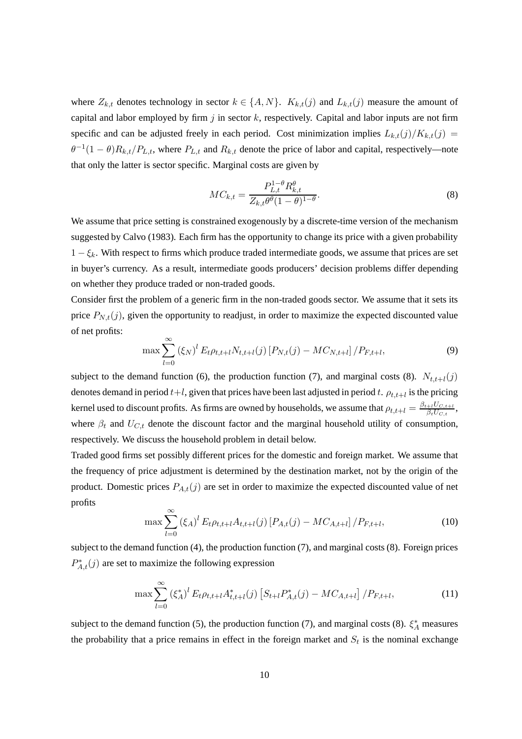where  $Z_{k,t}$  denotes technology in sector  $k \in \{A, N\}$ .  $K_{k,t}(j)$  and  $L_{k,t}(j)$  measure the amount of capital and labor employed by firm  $j$  in sector  $k$ , respectively. Capital and labor inputs are not firm specific and can be adjusted freely in each period. Cost minimization implies  $L_{k,t}(j)/K_{k,t}(j)$  =  $\theta^{-1}(1-\theta)R_{k,t}/P_{L,t}$ , where  $P_{L,t}$  and  $R_{k,t}$  denote the price of labor and capital, respectively—note that only the latter is sector specific. Marginal costs are given by

$$
MC_{k,t} = \frac{P_{L,t}^{1-\theta} R_{k,t}^{\theta}}{Z_{k,t}\theta^{\theta} (1-\theta)^{1-\theta}}.
$$
\n(8)

We assume that price setting is constrained exogenously by a discrete-time version of the mechanism suggested by Calvo (1983). Each firm has the opportunity to change its price with a given probability  $1 - \xi_k$ . With respect to firms which produce traded intermediate goods, we assume that prices are set in buyer's currency. As a result, intermediate goods producers' decision problems differ depending on whether they produce traded or non-traded goods.

Consider first the problem of a generic firm in the non-traded goods sector. We assume that it sets its price  $P_{N,t}(j)$ , given the opportunity to readjust, in order to maximize the expected discounted value of net profits:

$$
\max \sum_{l=0}^{\infty} (\xi_N)^l E_t \rho_{t,t+l} N_{t,t+l}(j) \left[ P_{N,t}(j) - M C_{N,t+l} \right] / P_{F,t+l}, \tag{9}
$$

subject to the demand function (6), the production function (7), and marginal costs (8).  $N_{t,t+l}(j)$ denotes demand in period  $t+l$ , given that prices have been last adjusted in period  $t$ .  $\rho_{t,t+l}$  is the pricing kernel used to discount profits. As firms are owned by households, we assume that  $\rho_{t,t+l} = \frac{\beta_{t+l}U_{C,t+l}}{\beta_t U_{C,t}}$  $\frac{_{+l}UC_{,t+l}}{\beta_t U_{C,t}},$ where  $\beta_t$  and  $U_{C,t}$  denote the discount factor and the marginal household utility of consumption, respectively. We discuss the household problem in detail below.

Traded good firms set possibly different prices for the domestic and foreign market. We assume that the frequency of price adjustment is determined by the destination market, not by the origin of the product. Domestic prices  $P_{A,t}(j)$  are set in order to maximize the expected discounted value of net profits

$$
\max \sum_{l=0}^{\infty} (\xi_A)^l E_t \rho_{t,t+l} A_{t,t+l}(j) \left[ P_{A,t}(j) - M C_{A,t+l} \right] / P_{F,t+l}, \tag{10}
$$

subject to the demand function (4), the production function (7), and marginal costs (8). Foreign prices  $P_{A,t}^*(j)$  are set to maximize the following expression

$$
\max \sum_{l=0}^{\infty} \left(\xi_A^*\right)^l E_t \rho_{t,t+l} A_{t,t+l}^*(j) \left[S_{t+l} P_{A,t}^*(j) - M C_{A,t+l}\right] / P_{F,t+l},\tag{11}
$$

subject to the demand function (5), the production function (7), and marginal costs (8).  $\xi_A^*$  measures the probability that a price remains in effect in the foreign market and  $S_t$  is the nominal exchange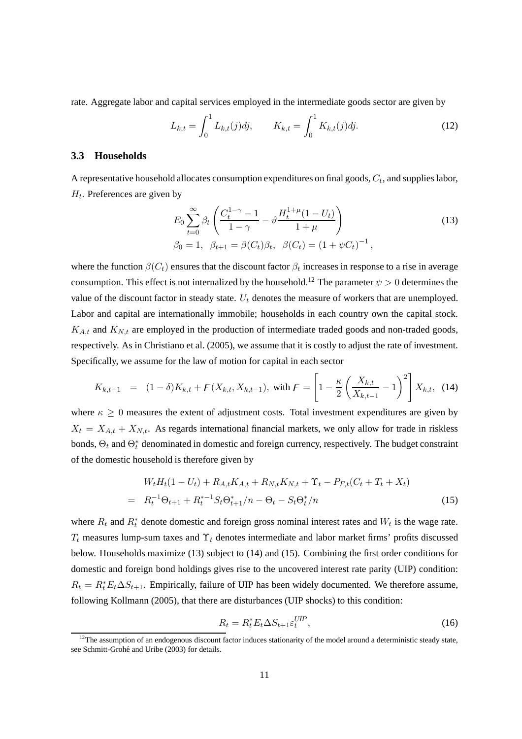rate. Aggregate labor and capital services employed in the intermediate goods sector are given by

$$
L_{k,t} = \int_0^1 L_{k,t}(j)dj, \qquad K_{k,t} = \int_0^1 K_{k,t}(j)dj.
$$
 (12)

### **3.3 Households**

A representative household allocates consumption expenditures on final goods,  $C_t$ , and supplies labor,  $H_t$ . Preferences are given by

$$
E_0 \sum_{t=0}^{\infty} \beta_t \left( \frac{C_t^{1-\gamma} - 1}{1 - \gamma} - \vartheta \frac{H_t^{1+\mu}(1 - U_t)}{1 + \mu} \right)
$$
  
\n
$$
\beta_0 = 1, \ \beta_{t+1} = \beta(C_t)\beta_t, \ \beta(C_t) = (1 + \psi C_t)^{-1},
$$
\n(13)

where the function  $\beta(C_t)$  ensures that the discount factor  $\beta_t$  increases in response to a rise in average consumption. This effect is not internalized by the household.<sup>12</sup> The parameter  $\psi > 0$  determines the value of the discount factor in steady state.  $U_t$  denotes the measure of workers that are unemployed. Labor and capital are internationally immobile; households in each country own the capital stock.  $K_{A,t}$  and  $K_{N,t}$  are employed in the production of intermediate traded goods and non-traded goods, respectively. As in Christiano et al. (2005), we assume that it is costly to adjust the rate of investment. Specifically, we assume for the law of motion for capital in each sector

$$
K_{k,t+1} = (1 - \delta)K_{k,t} + F(X_{k,t}, X_{k,t-1}), \text{ with } F = \left[1 - \frac{\kappa}{2} \left(\frac{X_{k,t}}{X_{k,t-1}} - 1\right)^2\right]X_{k,t}, \tag{14}
$$

where  $\kappa \geq 0$  measures the extent of adjustment costs. Total investment expenditures are given by  $X_t = X_{A,t} + X_{N,t}$ . As regards international financial markets, we only allow for trade in riskless bonds,  $\Theta_t$  and  $\Theta_t^*$  denominated in domestic and foreign currency, respectively. The budget constraint of the domestic household is therefore given by

$$
W_t H_t (1 - U_t) + R_{A,t} K_{A,t} + R_{N,t} K_{N,t} + \Upsilon_t - P_{F,t} (C_t + T_t + X_t)
$$
  
=  $R_t^{-1} \Theta_{t+1} + R_t^{*-1} S_t \Theta_{t+1}^*/n - \Theta_t - S_t \Theta_t^*/n$  (15)

where  $R_t$  and  $R_t^*$  denote domestic and foreign gross nominal interest rates and  $W_t$  is the wage rate.  $T_t$  measures lump-sum taxes and  $\Upsilon_t$  denotes intermediate and labor market firms' profits discussed below. Households maximize (13) subject to (14) and (15). Combining the first order conditions for domestic and foreign bond holdings gives rise to the uncovered interest rate parity (UIP) condition:  $R_t = R_t^* E_t \Delta S_{t+1}$ . Empirically, failure of UIP has been widely documented. We therefore assume, following Kollmann (2005), that there are disturbances (UIP shocks) to this condition:

$$
R_t = R_t^* E_t \Delta S_{t+1} \varepsilon_t^{UIP},\tag{16}
$$

 $12$ The assumption of an endogenous discount factor induces stationarity of the model around a deterministic steady state, see Schmitt-Grohé and Uribe (2003) for details.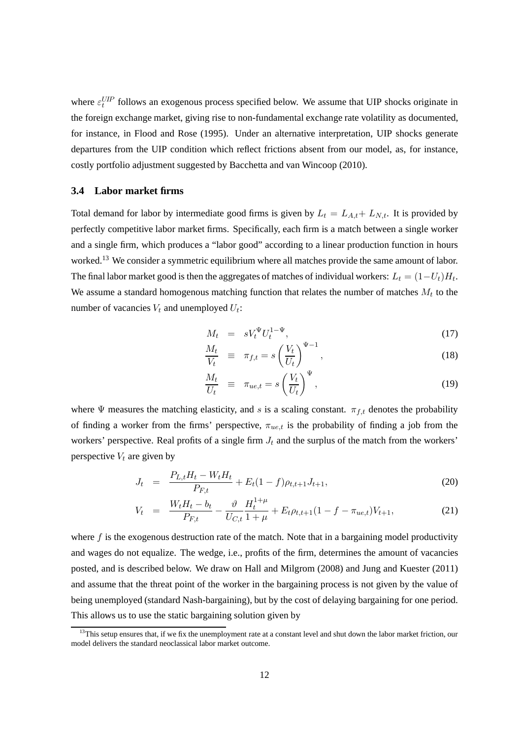where  $\varepsilon_t^{UIP}$  follows an exogenous process specified below. We assume that UIP shocks originate in the foreign exchange market, giving rise to non-fundamental exchange rate volatility as documented, for instance, in Flood and Rose (1995). Under an alternative interpretation, UIP shocks generate departures from the UIP condition which reflect frictions absent from our model, as, for instance, costly portfolio adjustment suggested by Bacchetta and van Wincoop (2010).

### **3.4 Labor market firms**

Total demand for labor by intermediate good firms is given by  $L_t = L_{A,t} + L_{N,t}$ . It is provided by perfectly competitive labor market firms. Specifically, each firm is a match between a single worker and a single firm, which produces a "labor good" according to a linear production function in hours worked.<sup>13</sup> We consider a symmetric equilibrium where all matches provide the same amount of labor. The final labor market good is then the aggregates of matches of individual workers:  $L_t = (1-U_t)H_t$ . We assume a standard homogenous matching function that relates the number of matches  $M_t$  to the number of vacancies  $V_t$  and unemployed  $U_t$ :

$$
M_t = sV_t^{\Psi}U_t^{1-\Psi}, \qquad (17)
$$

$$
\frac{M_t}{V_t} \equiv \pi_{f,t} = s \left(\frac{V_t}{U_t}\right)^{\Psi - 1},\tag{18}
$$

$$
\frac{M_t}{U_t} \equiv \pi_{ue,t} = s \left(\frac{V_t}{U_t}\right)^{\Psi},\tag{19}
$$

where  $\Psi$  measures the matching elasticity, and s is a scaling constant.  $\pi_{f,t}$  denotes the probability of finding a worker from the firms' perspective,  $\pi_{ue,t}$  is the probability of finding a job from the workers' perspective. Real profits of a single firm  $J_t$  and the surplus of the match from the workers' perspective  $V_t$  are given by

$$
J_t = \frac{P_{L,t}H_t - W_tH_t}{P_{F,t}} + E_t(1-f)\rho_{t,t+1}J_{t+1},
$$
\n(20)

$$
V_t = \frac{W_t H_t - b_t}{P_{F,t}} - \frac{\vartheta}{U_{C,t}} \frac{H_t^{1+\mu}}{1+\mu} + E_t \rho_{t,t+1} (1 - f - \pi_{ue,t}) V_{t+1},
$$
(21)

where  $f$  is the exogenous destruction rate of the match. Note that in a bargaining model productivity and wages do not equalize. The wedge, i.e., profits of the firm, determines the amount of vacancies posted, and is described below. We draw on Hall and Milgrom (2008) and Jung and Kuester (2011) and assume that the threat point of the worker in the bargaining process is not given by the value of being unemployed (standard Nash-bargaining), but by the cost of delaying bargaining for one period. This allows us to use the static bargaining solution given by

 $13$ This setup ensures that, if we fix the unemployment rate at a constant level and shut down the labor market friction, our model delivers the standard neoclassical labor market outcome.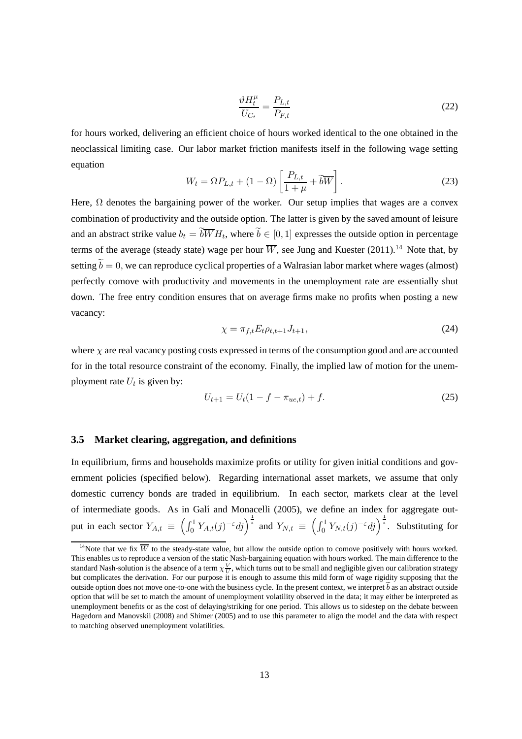$$
\frac{\partial H_t^{\mu}}{U_{C_t}} = \frac{P_{L,t}}{P_{F,t}}\tag{22}
$$

for hours worked, delivering an efficient choice of hours worked identical to the one obtained in the neoclassical limiting case. Our labor market friction manifests itself in the following wage setting equation

$$
W_t = \Omega P_{L,t} + (1 - \Omega) \left[ \frac{P_{L,t}}{1 + \mu} + \widetilde{b} \overline{W} \right]. \tag{23}
$$

Here,  $\Omega$  denotes the bargaining power of the worker. Our setup implies that wages are a convex combination of productivity and the outside option. The latter is given by the saved amount of leisure and an abstract strike value  $b_t = b\overline{W}H_t$ , where  $b \in [0, 1]$  expresses the outside option in percentage terms of the average (steady state) wage per hour  $\overline{W}$ , see Jung and Kuester (2011).<sup>14</sup> Note that, by setting  $\widetilde{b} = 0$ , we can reproduce cyclical properties of a Walrasian labor market where wages (almost) perfectly comove with productivity and movements in the unemployment rate are essentially shut down. The free entry condition ensures that on average firms make no profits when posting a new vacancy:

$$
\chi = \pi_{f,t} E_t \rho_{t,t+1} J_{t+1},\tag{24}
$$

where  $\chi$  are real vacancy posting costs expressed in terms of the consumption good and are accounted for in the total resource constraint of the economy. Finally, the implied law of motion for the unemployment rate  $U_t$  is given by:

$$
U_{t+1} = U_t(1 - f - \pi_{ue,t}) + f.
$$
\n(25)

### **3.5 Market clearing, aggregation, and definitions**

In equilibrium, firms and households maximize profits or utility for given initial conditions and government policies (specified below). Regarding international asset markets, we assume that only domestic currency bonds are traded in equilibrium. In each sector, markets clear at the level of intermediate goods. As in Galí and Monacelli (2005), we define an index for aggregate output in each sector  $Y_{A,t} \equiv \left(\int_0^1 Y_{A,t}(j)^{-\epsilon}dj\right)^{\frac{1}{\epsilon}}$  and  $Y_{N,t} \equiv \left(\int_0^1 Y_{N,t}(j)^{-\epsilon}dj\right)^{\frac{1}{\epsilon}}$ . Substituting for

<sup>&</sup>lt;sup>14</sup>Note that we fix  $\overline{W}$  to the steady-state value, but allow the outside option to comove positively with hours worked. This enables us to reproduce a version of the static Nash-bargaining equation with hours worked. The main difference to the standard Nash-solution is the absence of a term  $\chi_U^V$ , which turns out to be small and negligible given our calibration strategy but complicates the derivation. For our purpose it is enough to assume this mild form of wage rigidity supposing that the outside option does not move one-to-one with the business cycle. In the present context, we interpret  $\tilde{b}$  as an abstract outside option that will be set to match the amount of unemployment volatility observed in the data; it may either be interpreted as unemployment benefits or as the cost of delaying/striking for one period. This allows us to sidestep on the debate between Hagedorn and Manovskii (2008) and Shimer (2005) and to use this parameter to align the model and the data with respect to matching observed unemployment volatilities.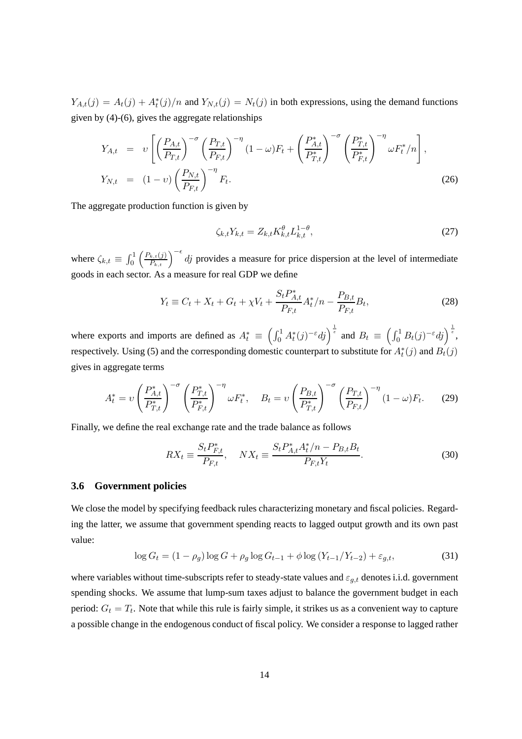$Y_{A,t}(j) = A_t(j) + A_t^*(j)/n$  and  $Y_{N,t}(j) = N_t(j)$  in both expressions, using the demand functions given by (4)-(6), gives the aggregate relationships

$$
Y_{A,t} = v \left[ \left( \frac{P_{A,t}}{P_{T,t}} \right)^{-\sigma} \left( \frac{P_{T,t}}{P_{F,t}} \right)^{-\eta} (1 - \omega) F_t + \left( \frac{P_{A,t}^*}{P_{T,t}^*} \right)^{-\sigma} \left( \frac{P_{T,t}^*}{P_{F,t}^*} \right)^{-\eta} \omega F_t^* / n \right],
$$
  
\n
$$
Y_{N,t} = (1 - v) \left( \frac{P_{N,t}}{P_{F,t}} \right)^{-\eta} F_t.
$$
\n(26)

The aggregate production function is given by

$$
\zeta_{k,t} Y_{k,t} = Z_{k,t} K_{k,t}^{\theta} L_{k,t}^{1-\theta},\tag{27}
$$

where  $\zeta_{k,t} \equiv \int_0^1$  $\left(\frac{P_{k,t}(j)}{P_{k,t}}\right)^{-\epsilon}$  dj provides a measure for price dispersion at the level of intermediate goods in each sector. As a measure for real GDP we define

$$
Y_t \equiv C_t + X_t + G_t + \chi V_t + \frac{S_t P_{A,t}^*}{P_{F,t}} A_t^* / n - \frac{P_{B,t}}{P_{F,t}} B_t,
$$
\n(28)

where exports and imports are defined as  $A_t^* \equiv \left(\int_0^1 A_t^*(j)^{-\varepsilon}dj\right)^{\frac{1}{\varepsilon}}$  and  $B_t \equiv \left(\int_0^1 B_t(j)^{-\varepsilon}dj\right)^{\frac{1}{\varepsilon}}$ , respectively. Using (5) and the corresponding domestic counterpart to substitute for  $A_t^*(j)$  and  $B_t(j)$ gives in aggregate terms

$$
A_t^* = v \left(\frac{P_{A,t}^*}{P_{T,t}^*}\right)^{-\sigma} \left(\frac{P_{T,t}^*}{P_{F,t}^*}\right)^{-\eta} \omega F_t^*, \quad B_t = v \left(\frac{P_{B,t}}{P_{T,t}^*}\right)^{-\sigma} \left(\frac{P_{T,t}}{P_{F,t}}\right)^{-\eta} (1-\omega) F_t. \tag{29}
$$

Finally, we define the real exchange rate and the trade balance as follows

$$
RX_t \equiv \frac{S_t P_{F,t}^*}{P_{F,t}}, \quad N X_t \equiv \frac{S_t P_{A,t}^* A_t^* / n - P_{B,t} B_t}{P_{F,t} Y_t}.
$$
\n(30)

#### **3.6 Government policies**

We close the model by specifying feedback rules characterizing monetary and fiscal policies. Regarding the latter, we assume that government spending reacts to lagged output growth and its own past value:

$$
\log G_t = (1 - \rho_g) \log G + \rho_g \log G_{t-1} + \phi \log (Y_{t-1}/Y_{t-2}) + \varepsilon_{g,t},\tag{31}
$$

where variables without time-subscripts refer to steady-state values and  $\varepsilon_{q,t}$  denotes i.i.d. government spending shocks. We assume that lump-sum taxes adjust to balance the government budget in each period:  $G_t = T_t$ . Note that while this rule is fairly simple, it strikes us as a convenient way to capture a possible change in the endogenous conduct of fiscal policy. We consider a response to lagged rather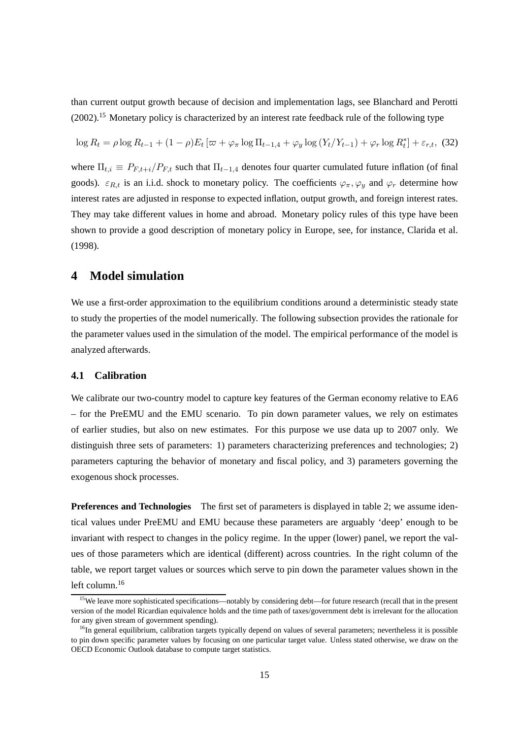than current output growth because of decision and implementation lags, see Blanchard and Perotti (2002).<sup>15</sup> Monetary policy is characterized by an interest rate feedback rule of the following type

 $\log R_t = \rho \log R_{t-1} + (1 - \rho) E_t \left[ \varpi + \varphi_\pi \log \Pi_{t-1,4} + \varphi_y \log (Y_t/Y_{t-1}) + \varphi_r \log R_t^* \right]$  $|t^*| + \varepsilon_{r,t}$ , (32)

where  $\Pi_{t,i} \equiv P_{F,t+i}/P_{F,t}$  such that  $\Pi_{t-1,4}$  denotes four quarter cumulated future inflation (of final goods).  $\varepsilon_{R,t}$  is an i.i.d. shock to monetary policy. The coefficients  $\varphi_{\pi}, \varphi_{y}$  and  $\varphi_{r}$  determine how interest rates are adjusted in response to expected inflation, output growth, and foreign interest rates. They may take different values in home and abroad. Monetary policy rules of this type have been shown to provide a good description of monetary policy in Europe, see, for instance, Clarida et al. (1998).

# **4 Model simulation**

We use a first-order approximation to the equilibrium conditions around a deterministic steady state to study the properties of the model numerically. The following subsection provides the rationale for the parameter values used in the simulation of the model. The empirical performance of the model is analyzed afterwards.

## **4.1 Calibration**

We calibrate our two-country model to capture key features of the German economy relative to EA6 – for the PreEMU and the EMU scenario. To pin down parameter values, we rely on estimates of earlier studies, but also on new estimates. For this purpose we use data up to 2007 only. We distinguish three sets of parameters: 1) parameters characterizing preferences and technologies; 2) parameters capturing the behavior of monetary and fiscal policy, and 3) parameters governing the exogenous shock processes.

**Preferences and Technologies** The first set of parameters is displayed in table 2; we assume identical values under PreEMU and EMU because these parameters are arguably 'deep' enough to be invariant with respect to changes in the policy regime. In the upper (lower) panel, we report the values of those parameters which are identical (different) across countries. In the right column of the table, we report target values or sources which serve to pin down the parameter values shown in the left column.<sup>16</sup>

<sup>&</sup>lt;sup>15</sup>We leave more sophisticated specifications—notably by considering debt—for future research (recall that in the present version of the model Ricardian equivalence holds and the time path of taxes/government debt is irrelevant for the allocation for any given stream of government spending).

 $<sup>16</sup>$ In general equilibrium, calibration targets typically depend on values of several parameters; nevertheless it is possible</sup> to pin down specific parameter values by focusing on one particular target value. Unless stated otherwise, we draw on the OECD Economic Outlook database to compute target statistics.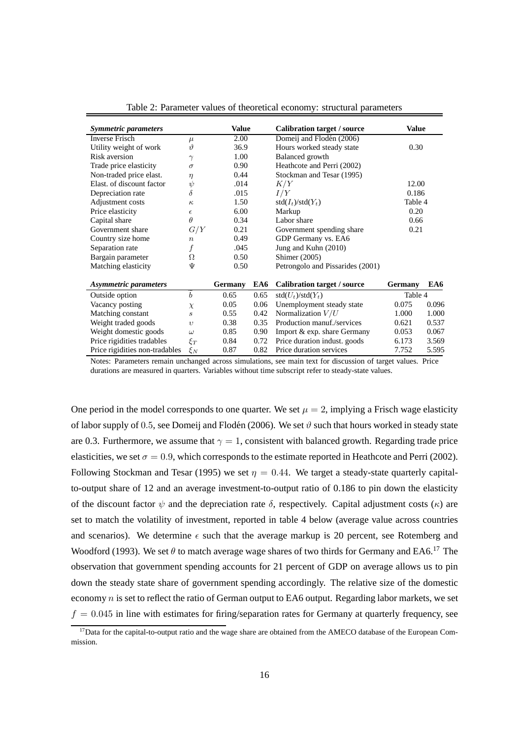| Symmetric parameters           | <b>Value</b>                |         | <b>Calibration target / source</b> | <b>Value</b>                       |         |       |
|--------------------------------|-----------------------------|---------|------------------------------------|------------------------------------|---------|-------|
| <b>Inverse Frisch</b>          | $\mu$                       | 2.00    |                                    | Domeij and Flodén (2006)           |         |       |
| Utility weight of work         | $\hat{\theta}$              | 36.9    |                                    | Hours worked steady state          | 0.30    |       |
| Risk aversion                  | $\gamma$                    | 1.00    |                                    | Balanced growth                    |         |       |
| Trade price elasticity         | $\sigma$                    | 0.90    |                                    | Heathcote and Perri (2002)         |         |       |
| Non-traded price elast.        | $\eta$                      | 0.44    |                                    | Stockman and Tesar (1995)          |         |       |
| Elast. of discount factor      | $\psi$                      | .014    |                                    | K/Y                                | 12.00   |       |
| Depreciation rate              | δ                           | .015    |                                    | I/Y                                | 0.186   |       |
| Adjustment costs               | $\kappa$                    | 1.50    |                                    | $std(I_t)/std(Y_t)$                | Table 4 |       |
| Price elasticity               | $\epsilon$                  | 6.00    |                                    | Markup                             | 0.20    |       |
| Capital share                  | $\theta$                    | 0.34    |                                    | Labor share                        | 0.66    |       |
| Government share               | G/Y                         | 0.21    |                                    | Government spending share          | 0.21    |       |
| Country size home              | $\boldsymbol{n}$            | 0.49    |                                    | GDP Germany vs. EA6                |         |       |
| Separation rate                | $\boldsymbol{f}$            | .045    |                                    | Jung and Kuhn (2010)               |         |       |
| Bargain parameter              | Ω                           | 0.50    |                                    | Shimer (2005)                      |         |       |
| Matching elasticity            | Ψ                           | 0.50    |                                    | Petrongolo and Pissarides (2001)   |         |       |
| Asymmetric parameters          |                             | Germany | EA6                                | <b>Calibration target / source</b> | Germany | EA6   |
| Outside option                 | $\boldsymbol{h}$            | 0.65    | 0.65                               | $std(U_t)/std(Y_t)$                | Table 4 |       |
| Vacancy posting                | $\chi$                      | 0.05    | 0.06                               | Unemployment steady state          | 0.075   | 0.096 |
| Matching constant              | $\mathcal{S}_{\mathcal{S}}$ | 0.55    | 0.42                               | Normalization $V/U$                | 1.000   | 1.000 |
| Weight traded goods            | $\upsilon$                  | 0.38    | 0.35                               | Production manuf./services         | 0.621   | 0.537 |
| Weight domestic goods          | $\omega$                    | 0.85    | 0.90                               | Import & exp. share Germany        | 0.053   | 0.067 |
| Price rigidities tradables     | $\xi_T$                     | 0.84    | 0.72                               | Price duration indust. goods       | 6.173   | 3.569 |
| Price rigidities non-tradables | $\xi_N$                     | 0.87    | 0.82                               | Price duration services            | 7.752   | 5.595 |

Table 2: Parameter values of theoretical economy: structural parameters

Notes: Parameters remain unchanged across simulations, see main text for discussion of target values. Price durations are measured in quarters. Variables without time subscript refer to steady-state values.

One period in the model corresponds to one quarter. We set  $\mu = 2$ , implying a Frisch wage elasticity of labor supply of 0.5, see Domeij and Flodén (2006). We set  $\vartheta$  such that hours worked in steady state are 0.3. Furthermore, we assume that  $\gamma = 1$ , consistent with balanced growth. Regarding trade price elasticities, we set  $\sigma = 0.9$ , which corresponds to the estimate reported in Heathcote and Perri (2002). Following Stockman and Tesar (1995) we set  $\eta = 0.44$ . We target a steady-state quarterly capitalto-output share of 12 and an average investment-to-output ratio of 0.186 to pin down the elasticity of the discount factor  $\psi$  and the depreciation rate  $\delta$ , respectively. Capital adjustment costs ( $\kappa$ ) are set to match the volatility of investment, reported in table 4 below (average value across countries and scenarios). We determine  $\epsilon$  such that the average markup is 20 percent, see Rotemberg and Woodford (1993). We set  $\theta$  to match average wage shares of two thirds for Germany and EA6.<sup>17</sup> The observation that government spending accounts for 21 percent of GDP on average allows us to pin down the steady state share of government spending accordingly. The relative size of the domestic economy  $n$  is set to reflect the ratio of German output to EA6 output. Regarding labor markets, we set  $f = 0.045$  in line with estimates for firing/separation rates for Germany at quarterly frequency, see

 $17$ Data for the capital-to-output ratio and the wage share are obtained from the AMECO database of the European Commission.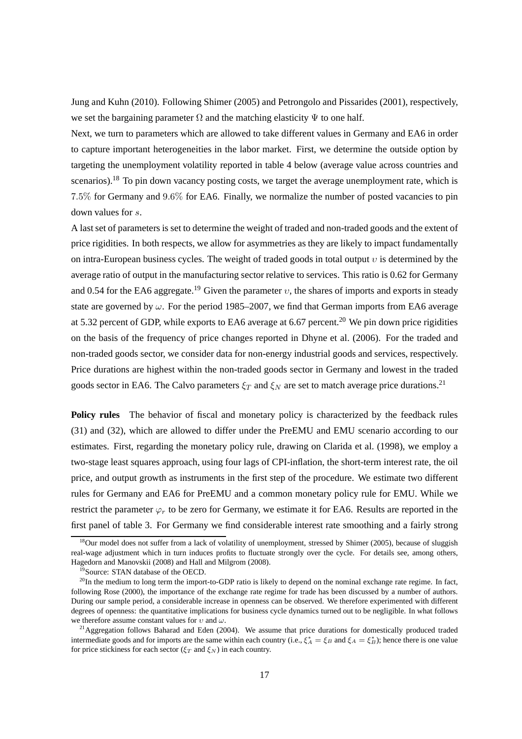Jung and Kuhn (2010). Following Shimer (2005) and Petrongolo and Pissarides (2001), respectively, we set the bargaining parameter  $\Omega$  and the matching elasticity  $\Psi$  to one half.

Next, we turn to parameters which are allowed to take different values in Germany and EA6 in order to capture important heterogeneities in the labor market. First, we determine the outside option by targeting the unemployment volatility reported in table 4 below (average value across countries and scenarios).<sup>18</sup> To pin down vacancy posting costs, we target the average unemployment rate, which is 7.5% for Germany and 9.6% for EA6. Finally, we normalize the number of posted vacancies to pin down values for s.

A last set of parameters is set to determine the weight of traded and non-traded goods and the extent of price rigidities. In both respects, we allow for asymmetries as they are likely to impact fundamentally on intra-European business cycles. The weight of traded goods in total output  $v$  is determined by the average ratio of output in the manufacturing sector relative to services. This ratio is 0.62 for Germany and 0.54 for the EA6 aggregate.<sup>19</sup> Given the parameter v, the shares of imports and exports in steady state are governed by  $\omega$ . For the period 1985–2007, we find that German imports from EA6 average at 5.32 percent of GDP, while exports to EA6 average at 6.67 percent.<sup>20</sup> We pin down price rigidities on the basis of the frequency of price changes reported in Dhyne et al. (2006). For the traded and non-traded goods sector, we consider data for non-energy industrial goods and services, respectively. Price durations are highest within the non-traded goods sector in Germany and lowest in the traded goods sector in EA6. The Calvo parameters  $\xi_T$  and  $\xi_N$  are set to match average price durations.<sup>21</sup>

**Policy rules** The behavior of fiscal and monetary policy is characterized by the feedback rules (31) and (32), which are allowed to differ under the PreEMU and EMU scenario according to our estimates. First, regarding the monetary policy rule, drawing on Clarida et al. (1998), we employ a two-stage least squares approach, using four lags of CPI-inflation, the short-term interest rate, the oil price, and output growth as instruments in the first step of the procedure. We estimate two different rules for Germany and EA6 for PreEMU and a common monetary policy rule for EMU. While we restrict the parameter  $\varphi_r$  to be zero for Germany, we estimate it for EA6. Results are reported in the first panel of table 3. For Germany we find considerable interest rate smoothing and a fairly strong

 $18$ Our model does not suffer from a lack of volatility of unemployment, stressed by Shimer (2005), because of sluggish real-wage adjustment which in turn induces profits to fluctuate strongly over the cycle. For details see, among others, Hagedorn and Manovskii (2008) and Hall and Milgrom (2008).

<sup>&</sup>lt;sup>9</sup>Source: STAN database of the OECD.

 $^{20}$ In the medium to long term the import-to-GDP ratio is likely to depend on the nominal exchange rate regime. In fact, following Rose (2000), the importance of the exchange rate regime for trade has been discussed by a number of authors. During our sample period, a considerable increase in openness can be observed. We therefore experimented with different degrees of openness: the quantitative implications for business cycle dynamics turned out to be negligible. In what follows we therefore assume constant values for  $v$  and  $\omega$ .

 $^{21}$ Aggregation follows Baharad and Eden (2004). We assume that price durations for domestically produced traded intermediate goods and for imports are the same within each country (i.e.,  $\xi_A^* = \xi_B$  and  $\xi_A = \xi_B^*$ ); hence there is one value for price stickiness for each sector ( $\xi_T$  and  $\xi_N$ ) in each country.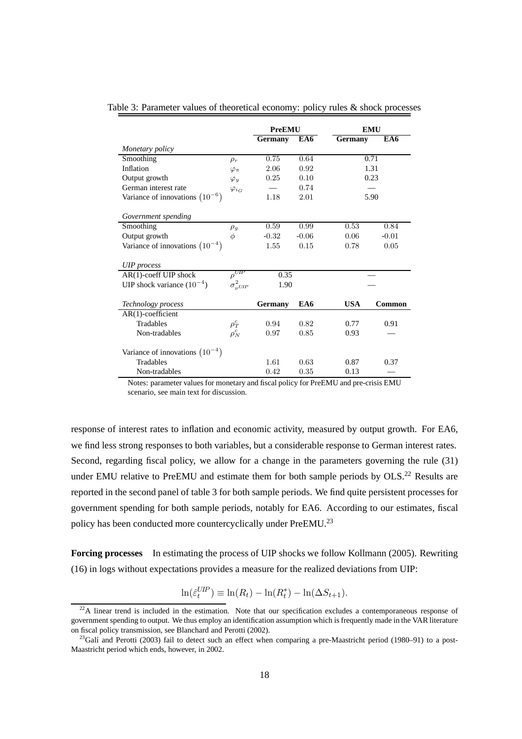|                                     |                         |         |         | <b>EMU</b> |         |  |  |
|-------------------------------------|-------------------------|---------|---------|------------|---------|--|--|
|                                     |                         | Germany | EA6     | Germany    | EA6     |  |  |
| Monetary policy                     |                         |         |         |            |         |  |  |
| Smoothing                           | $\rho_r$                | 0.75    | 0.64    | 0.71       |         |  |  |
| Inflation                           | $\varphi_{\pi}$         | 2.06    | 0.92    | 1.31       |         |  |  |
| Output growth                       | $\varphi_y$             | 0.25    | 0.10    | 0.23       |         |  |  |
| German interest rate                | $\varphi_{i_G}$         |         | 0.74    |            |         |  |  |
| Variance of innovations $(10^{-6})$ |                         | 1.18    | 2.01    |            | 5.90    |  |  |
| Government spending                 |                         |         |         |            |         |  |  |
| Smoothing                           | $\rho_g$                | 0.59    | 0.99    | 0.53       | 0.84    |  |  |
| Output growth                       | $\phi$                  | $-0.32$ | $-0.06$ | 0.06       | $-0.01$ |  |  |
| Variance of innovations $(10^{-4})$ |                         | 1.55    | 0.15    | 0.78       | 0.05    |  |  |
| <b>UIP</b> process                  |                         |         |         |            |         |  |  |
| AR(1)-coeff UIP shock               | $\rho^{\overline{UIP}}$ | 0.35    |         |            |         |  |  |
| UIP shock variance $(10^{-4})$      | $\sigma_{\nu}^2$ UIP    | 1.90    |         |            |         |  |  |
| Technology process                  |                         | Germany | EA6     | <b>USA</b> | Common  |  |  |
| $AR(1)$ -coefficient                |                         |         |         |            |         |  |  |
| <b>Tradables</b>                    | $\rho_T^c$              | 0.94    | 0.82    | 0.77       | 0.91    |  |  |
| Non-tradables                       | $\rho_N^c$              | 0.97    | 0.85    | 0.93       |         |  |  |
| Variance of innovations $(10^{-4})$ |                         |         |         |            |         |  |  |
| <b>Tradables</b>                    |                         | 1.61    | 0.63    | 0.87       | 0.37    |  |  |
| Non-tradables                       |                         | 0.42    | 0.35    | 0.13       |         |  |  |

Table 3: Parameter values of theoretical economy: policy rules & shock processes

Notes: parameter values for monetary and fiscal policy for PreEMU and pre-crisis EMU scenario, see main text for discussion.

response of interest rates to inflation and economic activity, measured by output growth. For EA6, we find less strong responses to both variables, but a considerable response to German interest rates. Second, regarding fiscal policy, we allow for a change in the parameters governing the rule (31) under EMU relative to PreEMU and estimate them for both sample periods by OLS.<sup>22</sup> Results are reported in the second panel of table 3 for both sample periods. We find quite persistent processes for government spending for both sample periods, notably for EA6. According to our estimates, fiscal policy has been conducted more countercyclically under PreEMU.<sup>23</sup>

**Forcing processes** In estimating the process of UIP shocks we follow Kollmann (2005). Rewriting (16) in logs without expectations provides a measure for the realized deviations from UIP:

$$
\ln(\hat{\varepsilon}_t^{UIP}) \equiv \ln(R_t) - \ln(R_t^*) - \ln(\Delta S_{t+1}).
$$

 $22A$  linear trend is included in the estimation. Note that our specification excludes a contemporaneous response of government spending to output. We thus employ an identification assumption which is frequently made in the VAR literature on fiscal policy transmission, see Blanchard and Perotti (2002).

<sup>&</sup>lt;sup>23</sup>Galí and Perotti (2003) fail to detect such an effect when comparing a pre-Maastricht period (1980–91) to a post-Maastricht period which ends, however, in 2002.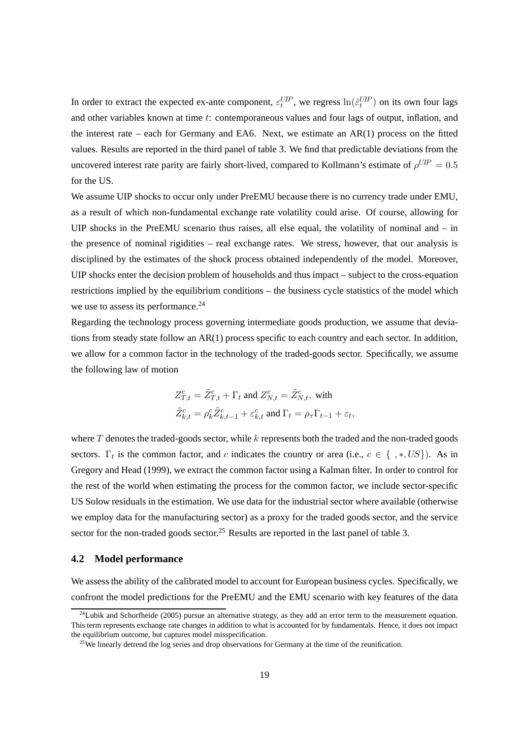In order to extract the expected ex-ante component,  $\varepsilon_t^{UIP}$ , we regress  $\ln(\hat{\varepsilon}_t^{UIP})$  on its own four lags and other variables known at time t: contemporaneous values and four lags of output, inflation, and the interest rate – each for Germany and EA6. Next, we estimate an  $AR(1)$  process on the fitted values. Results are reported in the third panel of table 3. We find that predictable deviations from the uncovered interest rate parity are fairly short-lived, compared to Kollmann's estimate of  $\rho^{UIP} = 0.5$ for the US.

We assume UIP shocks to occur only under PreEMU because there is no currency trade under EMU, as a result of which non-fundamental exchange rate volatility could arise. Of course, allowing for UIP shocks in the PreEMU scenario thus raises, all else equal, the volatility of nominal and – in the presence of nominal rigidities – real exchange rates. We stress, however, that our analysis is disciplined by the estimates of the shock process obtained independently of the model. Moreover, UIP shocks enter the decision problem of households and thus impact – subject to the cross-equation restrictions implied by the equilibrium conditions – the business cycle statistics of the model which we use to assess its performance.<sup>24</sup>

Regarding the technology process governing intermediate goods production, we assume that deviations from steady state follow an AR(1) process specific to each country and each sector. In addition, we allow for a common factor in the technology of the traded-goods sector. Specifically, we assume the following law of motion

$$
Z_{T,t}^c = \tilde{Z}_{T,t}^c + \Gamma_t \text{ and } Z_{N,t}^c = \tilde{Z}_{N,t}^c, \text{ with}
$$
  

$$
\tilde{Z}_{k,t}^c = \rho_k^c \tilde{Z}_{k,t-1}^c + \varepsilon_{k,t}^c \text{ and } \Gamma_t = \rho_\tau \Gamma_{t-1} + \varepsilon_t,
$$

where  $T$  denotes the traded-goods sector, while  $k$  represents both the traded and the non-traded goods sectors.  $\Gamma_t$  is the common factor, and c indicates the country or area (i.e.,  $c \in \{ ,*,\textit{US} \}$ ). As in Gregory and Head (1999), we extract the common factor using a Kalman filter. In order to control for the rest of the world when estimating the process for the common factor, we include sector-specific US Solow residuals in the estimation. We use data for the industrial sector where available (otherwise we employ data for the manufacturing sector) as a proxy for the traded goods sector, and the service sector for the non-traded goods sector.<sup>25</sup> Results are reported in the last panel of table 3.

#### **4.2 Model performance**

We assess the ability of the calibrated model to account for European business cycles. Specifically, we confront the model predictions for the PreEMU and the EMU scenario with key features of the data

 $^{24}$ Lubik and Schorfheide (2005) pursue an alternative strategy, as they add an error term to the measurement equation. This term represents exchange rate changes in addition to what is accounted for by fundamentals. Hence, it does not impact the equilibrium outcome, but captures model misspecification.

 $25$ We linearly detrend the log series and drop observations for Germany at the time of the reunification.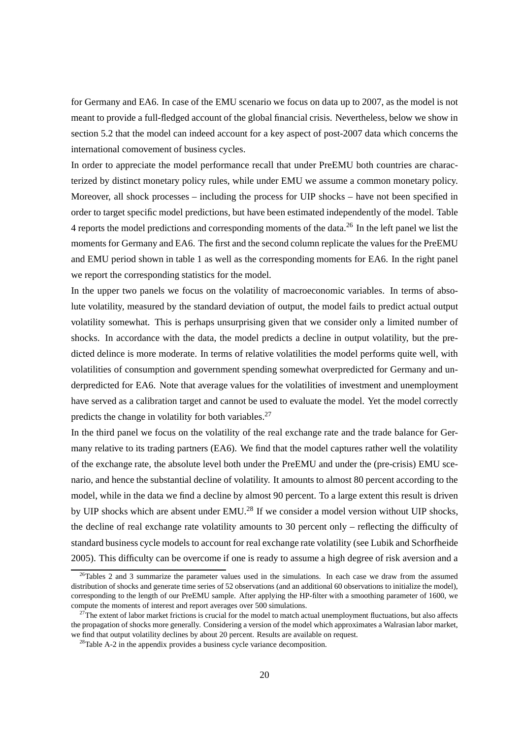for Germany and EA6. In case of the EMU scenario we focus on data up to 2007, as the model is not meant to provide a full-fledged account of the global financial crisis. Nevertheless, below we show in section 5.2 that the model can indeed account for a key aspect of post-2007 data which concerns the international comovement of business cycles.

In order to appreciate the model performance recall that under PreEMU both countries are characterized by distinct monetary policy rules, while under EMU we assume a common monetary policy. Moreover, all shock processes – including the process for UIP shocks – have not been specified in order to target specific model predictions, but have been estimated independently of the model. Table 4 reports the model predictions and corresponding moments of the data.<sup>26</sup> In the left panel we list the moments for Germany and EA6. The first and the second column replicate the values for the PreEMU and EMU period shown in table 1 as well as the corresponding moments for EA6. In the right panel we report the corresponding statistics for the model.

In the upper two panels we focus on the volatility of macroeconomic variables. In terms of absolute volatility, measured by the standard deviation of output, the model fails to predict actual output volatility somewhat. This is perhaps unsurprising given that we consider only a limited number of shocks. In accordance with the data, the model predicts a decline in output volatility, but the predicted delince is more moderate. In terms of relative volatilities the model performs quite well, with volatilities of consumption and government spending somewhat overpredicted for Germany and underpredicted for EA6. Note that average values for the volatilities of investment and unemployment have served as a calibration target and cannot be used to evaluate the model. Yet the model correctly predicts the change in volatility for both variables.<sup>27</sup>

In the third panel we focus on the volatility of the real exchange rate and the trade balance for Germany relative to its trading partners (EA6). We find that the model captures rather well the volatility of the exchange rate, the absolute level both under the PreEMU and under the (pre-crisis) EMU scenario, and hence the substantial decline of volatility. It amounts to almost 80 percent according to the model, while in the data we find a decline by almost 90 percent. To a large extent this result is driven by UIP shocks which are absent under EMU.<sup>28</sup> If we consider a model version without UIP shocks, the decline of real exchange rate volatility amounts to 30 percent only – reflecting the difficulty of standard business cycle models to account for real exchange rate volatility (see Lubik and Schorfheide 2005). This difficulty can be overcome if one is ready to assume a high degree of risk aversion and a

 $26$ Tables 2 and 3 summarize the parameter values used in the simulations. In each case we draw from the assumed distribution of shocks and generate time series of 52 observations (and an additional 60 observations to initialize the model), corresponding to the length of our PreEMU sample. After applying the HP-filter with a smoothing parameter of 1600, we compute the moments of interest and report averages over 500 simulations.

 $27$ The extent of labor market frictions is crucial for the model to match actual unemployment fluctuations, but also affects the propagation of shocks more generally. Considering a version of the model which approximates a Walrasian labor market, we find that output volatility declines by about 20 percent. Results are available on request.

 $^{28}$ Table A-2 in the appendix provides a business cycle variance decomposition.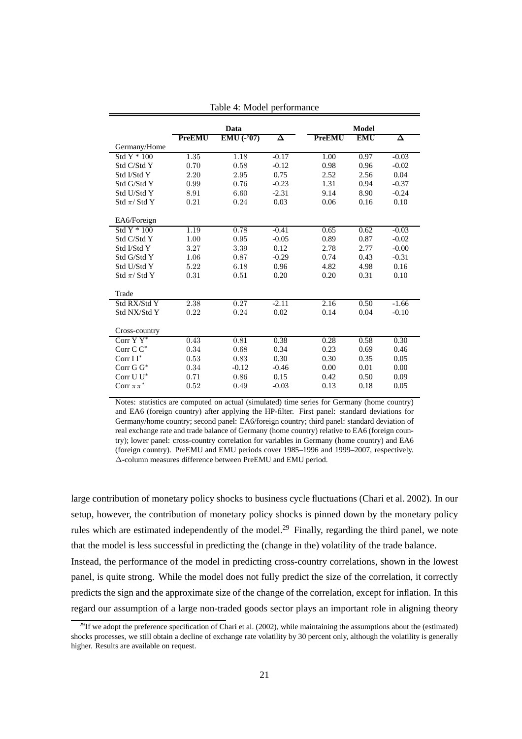|                          |               | Data        |         | <b>Model</b>  |            |         |  |  |  |
|--------------------------|---------------|-------------|---------|---------------|------------|---------|--|--|--|
|                          | <b>PreEMU</b> | $EMU (-07)$ | Δ       | <b>PreEMU</b> | <b>EMU</b> | Δ       |  |  |  |
| Germany/Home             |               |             |         |               |            |         |  |  |  |
| $\overline{Std Y}$ * 100 | 1.35          | 1.18        | $-0.17$ | 1.00          | 0.97       | $-0.03$ |  |  |  |
| Std C/Std Y              | 0.70          | 0.58        | $-0.12$ | 0.98          | 0.96       | $-0.02$ |  |  |  |
| Std I/Std Y              | 2.20          | 2.95        | 0.75    | 2.52          | 2.56       | 0.04    |  |  |  |
| Std G/Std Y              | 0.99          | 0.76        | $-0.23$ | 1.31          | 0.94       | $-0.37$ |  |  |  |
| Std U/Std Y              | 8.91          | 6.60        | $-2.31$ | 9.14          | 8.90       | $-0.24$ |  |  |  |
| Std $\pi$ / Std Y        | 0.21          | 0.24        | 0.03    | 0.06          | 0.16       | 0.10    |  |  |  |
|                          |               |             |         |               |            |         |  |  |  |
| EA6/Foreign              |               |             |         |               |            |         |  |  |  |
| Std Y * 100              | 1.19          | 0.78        | $-0.41$ | 0.65          | 0.62       | $-0.03$ |  |  |  |
| Std C/Std Y              | 1.00          | 0.95        | $-0.05$ | 0.89          | 0.87       | $-0.02$ |  |  |  |
| Std I/Std Y              | 3.27          | 3.39        | 0.12    | 2.78          | 2.77       | $-0.00$ |  |  |  |
| Std G/Std Y              | 1.06          | 0.87        | $-0.29$ | 0.74          | 0.43       | $-0.31$ |  |  |  |
| Std U/Std Y              | 5.22          | 6.18        | 0.96    | 4.82          | 4.98       | 0.16    |  |  |  |
| Std $\pi$ / Std Y        | 0.31          | 0.51        | 0.20    | 0.20          | 0.31       | 0.10    |  |  |  |
|                          |               |             |         |               |            |         |  |  |  |
| Trade                    |               |             |         |               |            |         |  |  |  |
| Std RX/Std Y             | 2.38          | 0.27        | $-2.11$ | 2.16          | 0.50       | $-1.66$ |  |  |  |
| Std NX/Std Y             | 0.22          | 0.24        | 0.02    | 0.14          | 0.04       | $-0.10$ |  |  |  |
|                          |               |             |         |               |            |         |  |  |  |
| Cross-country            |               |             |         |               |            |         |  |  |  |
| $Corr YY^*$              | 0.43          | 0.81        | 0.38    | 0.28          | 0.58       | 0.30    |  |  |  |
| $Corr C*$                | 0.34          | 0.68        | 0.34    | 0.23          | 0.69       | 0.46    |  |  |  |
| Corr $II^*$              | 0.53          | 0.83        | 0.30    | 0.30          | 0.35       | 0.05    |  |  |  |
| $Corr G G^*$             | 0.34          | $-0.12$     | $-0.46$ | 0.00          | 0.01       | 0.00    |  |  |  |
| Corr $U U^*$             | 0.71          | 0.86        | 0.15    | 0.42          | 0.50       | 0.09    |  |  |  |
| Corr $\pi\pi^*$          | 0.52          | 0.49        | $-0.03$ | 0.13          | 0.18       | 0.05    |  |  |  |
|                          |               |             |         |               |            |         |  |  |  |

Table 4: Model performance

Notes: statistics are computed on actual (simulated) time series for Germany (home country) and EA6 (foreign country) after applying the HP-filter. First panel: standard deviations for Germany/home country; second panel: EA6/foreign country; third panel: standard deviation of real exchange rate and trade balance of Germany (home country) relative to EA6 (foreign country); lower panel: cross-country correlation for variables in Germany (home country) and EA6 (foreign country). PreEMU and EMU periods cover 1985–1996 and 1999–2007, respectively. ∆-column measures difference between PreEMU and EMU period.

large contribution of monetary policy shocks to business cycle fluctuations (Chari et al. 2002). In our setup, however, the contribution of monetary policy shocks is pinned down by the monetary policy rules which are estimated independently of the model.<sup>29</sup> Finally, regarding the third panel, we note that the model is less successful in predicting the (change in the) volatility of the trade balance. Instead, the performance of the model in predicting cross-country correlations, shown in the lowest panel, is quite strong. While the model does not fully predict the size of the correlation, it correctly predicts the sign and the approximate size of the change of the correlation, except for inflation. In this regard our assumption of a large non-traded goods sector plays an important role in aligning theory

 $^{29}$ If we adopt the preference specification of Chari et al. (2002), while maintaining the assumptions about the (estimated) shocks processes, we still obtain a decline of exchange rate volatility by 30 percent only, although the volatility is generally higher. Results are available on request.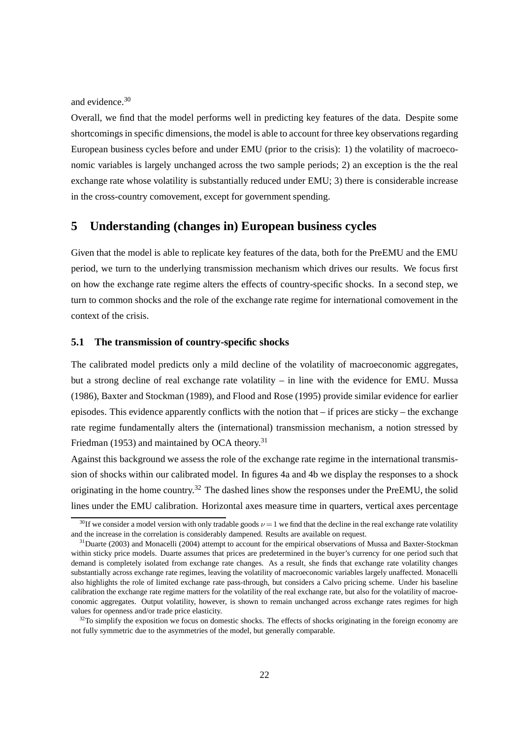and evidence.<sup>30</sup>

Overall, we find that the model performs well in predicting key features of the data. Despite some shortcomings in specific dimensions, the model is able to account for three key observations regarding European business cycles before and under EMU (prior to the crisis): 1) the volatility of macroeconomic variables is largely unchanged across the two sample periods; 2) an exception is the the real exchange rate whose volatility is substantially reduced under EMU; 3) there is considerable increase in the cross-country comovement, except for government spending.

# **5 Understanding (changes in) European business cycles**

Given that the model is able to replicate key features of the data, both for the PreEMU and the EMU period, we turn to the underlying transmission mechanism which drives our results. We focus first on how the exchange rate regime alters the effects of country-specific shocks. In a second step, we turn to common shocks and the role of the exchange rate regime for international comovement in the context of the crisis.

#### **5.1 The transmission of country-specific shocks**

The calibrated model predicts only a mild decline of the volatility of macroeconomic aggregates, but a strong decline of real exchange rate volatility – in line with the evidence for EMU. Mussa (1986), Baxter and Stockman (1989), and Flood and Rose (1995) provide similar evidence for earlier episodes. This evidence apparently conflicts with the notion that – if prices are sticky – the exchange rate regime fundamentally alters the (international) transmission mechanism, a notion stressed by Friedman (1953) and maintained by OCA theory.<sup>31</sup>

Against this background we assess the role of the exchange rate regime in the international transmission of shocks within our calibrated model. In figures 4a and 4b we display the responses to a shock originating in the home country.<sup>32</sup> The dashed lines show the responses under the PreEMU, the solid lines under the EMU calibration. Horizontal axes measure time in quarters, vertical axes percentage

<sup>&</sup>lt;sup>30</sup>If we consider a model version with only tradable goods  $\nu = 1$  we find that the decline in the real exchange rate volatility and the increase in the correlation is considerably dampened. Results are available on request.

 $31$ Duarte (2003) and Monacelli (2004) attempt to account for the empirical observations of Mussa and Baxter-Stockman within sticky price models. Duarte assumes that prices are predetermined in the buyer's currency for one period such that demand is completely isolated from exchange rate changes. As a result, she finds that exchange rate volatility changes substantially across exchange rate regimes, leaving the volatility of macroeconomic variables largely unaffected. Monacelli also highlights the role of limited exchange rate pass-through, but considers a Calvo pricing scheme. Under his baseline calibration the exchange rate regime matters for the volatility of the real exchange rate, but also for the volatility of macroeconomic aggregates. Output volatility, however, is shown to remain unchanged across exchange rates regimes for high values for openness and/or trade price elasticity.

<sup>&</sup>lt;sup>32</sup>To simplify the exposition we focus on domestic shocks. The effects of shocks originating in the foreign economy are not fully symmetric due to the asymmetries of the model, but generally comparable.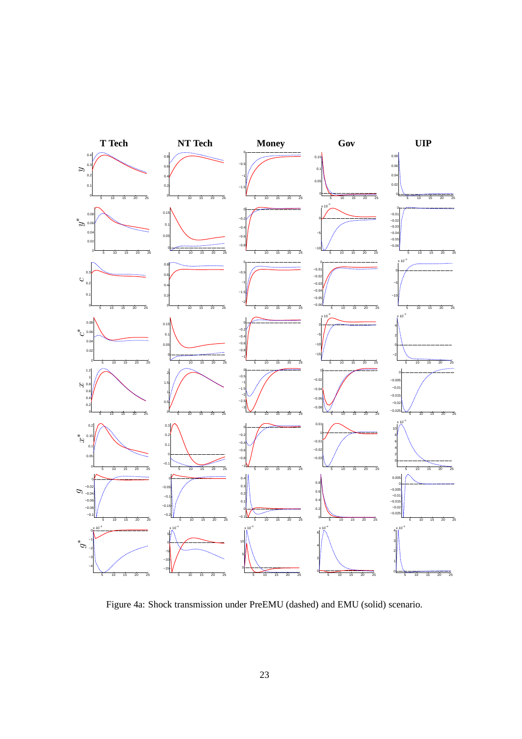

Figure 4a: Shock transmission under PreEMU (dashed) and EMU (solid) scenario.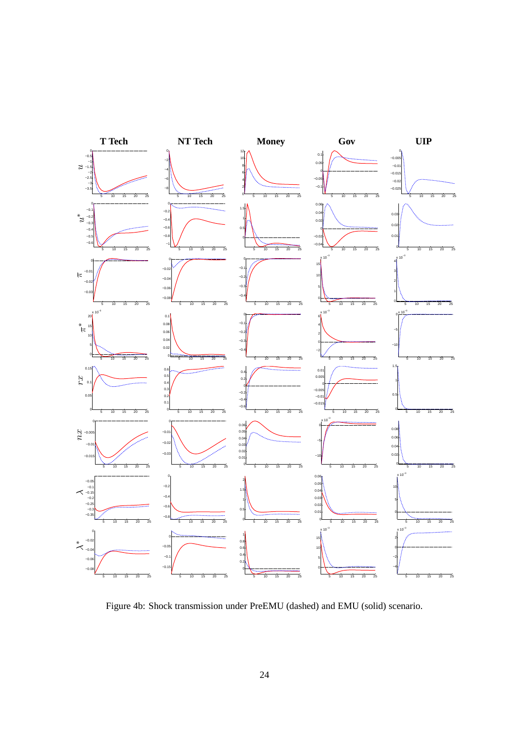

Figure 4b: Shock transmission under PreEMU (dashed) and EMU (solid) scenario.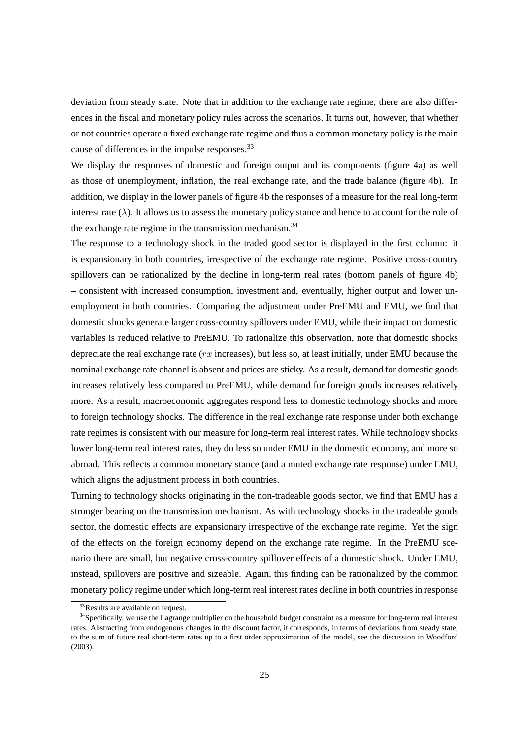deviation from steady state. Note that in addition to the exchange rate regime, there are also differences in the fiscal and monetary policy rules across the scenarios. It turns out, however, that whether or not countries operate a fixed exchange rate regime and thus a common monetary policy is the main cause of differences in the impulse responses.<sup>33</sup>

We display the responses of domestic and foreign output and its components (figure 4a) as well as those of unemployment, inflation, the real exchange rate, and the trade balance (figure 4b). In addition, we display in the lower panels of figure 4b the responses of a measure for the real long-term interest rate  $(\lambda)$ . It allows us to assess the monetary policy stance and hence to account for the role of the exchange rate regime in the transmission mechanism.<sup>34</sup>

The response to a technology shock in the traded good sector is displayed in the first column: it is expansionary in both countries, irrespective of the exchange rate regime. Positive cross-country spillovers can be rationalized by the decline in long-term real rates (bottom panels of figure 4b) – consistent with increased consumption, investment and, eventually, higher output and lower unemployment in both countries. Comparing the adjustment under PreEMU and EMU, we find that domestic shocks generate larger cross-country spillovers under EMU, while their impact on domestic variables is reduced relative to PreEMU. To rationalize this observation, note that domestic shocks depreciate the real exchange rate ( $rx$  increases), but less so, at least initially, under EMU because the nominal exchange rate channel is absent and prices are sticky. As a result, demand for domestic goods increases relatively less compared to PreEMU, while demand for foreign goods increases relatively more. As a result, macroeconomic aggregates respond less to domestic technology shocks and more to foreign technology shocks. The difference in the real exchange rate response under both exchange rate regimes is consistent with our measure for long-term real interest rates. While technology shocks lower long-term real interest rates, they do less so under EMU in the domestic economy, and more so abroad. This reflects a common monetary stance (and a muted exchange rate response) under EMU, which aligns the adjustment process in both countries.

Turning to technology shocks originating in the non-tradeable goods sector, we find that EMU has a stronger bearing on the transmission mechanism. As with technology shocks in the tradeable goods sector, the domestic effects are expansionary irrespective of the exchange rate regime. Yet the sign of the effects on the foreign economy depend on the exchange rate regime. In the PreEMU scenario there are small, but negative cross-country spillover effects of a domestic shock. Under EMU, instead, spillovers are positive and sizeable. Again, this finding can be rationalized by the common monetary policy regime under which long-term real interest rates decline in both countries in response

<sup>&</sup>lt;sup>33</sup>Results are available on request.

<sup>&</sup>lt;sup>34</sup>Specifically, we use the Lagrange multiplier on the household budget constraint as a measure for long-term real interest rates. Abstracting from endogenous changes in the discount factor, it corresponds, in terms of deviations from steady state, to the sum of future real short-term rates up to a first order approximation of the model, see the discussion in Woodford (2003).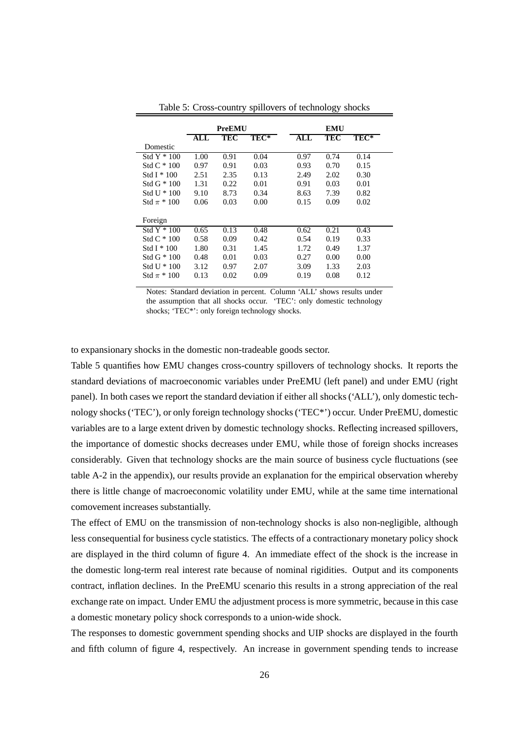|                 |      | <b>PreEMU</b> |      |      |      |        |
|-----------------|------|---------------|------|------|------|--------|
|                 | ALL. | TEC           | TEC* | ALL  | TEC  | $TEC*$ |
| Domestic        |      |               |      |      |      |        |
| Std Y $*$ 100   | 1.00 | 0.91          | 0.04 | 0.97 | 0.74 | 0.14   |
| Std C $*$ 100   | 0.97 | 0.91          | 0.03 | 0.93 | 0.70 | 0.15   |
| Std I * 100     | 2.51 | 2.35          | 0.13 | 2.49 | 2.02 | 0.30   |
| Std G $*$ 100   | 1.31 | 0.22          | 0.01 | 0.91 | 0.03 | 0.01   |
| Std U * 100     | 9.10 | 8.73          | 0.34 | 8.63 | 7.39 | 0.82   |
| Std $\pi$ * 100 | 0.06 | 0.03          | 0.00 | 0.15 | 0.09 | 0.02   |
|                 |      |               |      |      |      |        |
| Foreign         |      |               |      |      |      |        |
| Std Y * 100     | 0.65 | 0.13          | 0.48 | 0.62 | 0.21 | 0.43   |
| Std C * 100     | 0.58 | 0.09          | 0.42 | 0.54 | 0.19 | 0.33   |
| Std I * 100     | 1.80 | 0.31          | 1.45 | 1.72 | 0.49 | 1.37   |
| Std G $*$ 100   | 0.48 | 0.01          | 0.03 | 0.27 | 0.00 | 0.00   |
| Std U * 100     | 3.12 | 0.97          | 2.07 | 3.09 | 1.33 | 2.03   |
| Std $\pi$ * 100 | 0.13 | 0.02          | 0.09 | 0.19 | 0.08 | 0.12   |

Table 5: Cross-country spillovers of technology shocks

Notes: Standard deviation in percent. Column 'ALL' shows results under the assumption that all shocks occur. 'TEC': only domestic technology shocks; 'TEC\*': only foreign technology shocks.

to expansionary shocks in the domestic non-tradeable goods sector.

Table 5 quantifies how EMU changes cross-country spillovers of technology shocks. It reports the standard deviations of macroeconomic variables under PreEMU (left panel) and under EMU (right panel). In both cases we report the standard deviation if either all shocks ('ALL'), only domestic technology shocks ('TEC'), or only foreign technology shocks ('TEC\*') occur. Under PreEMU, domestic variables are to a large extent driven by domestic technology shocks. Reflecting increased spillovers, the importance of domestic shocks decreases under EMU, while those of foreign shocks increases considerably. Given that technology shocks are the main source of business cycle fluctuations (see table A-2 in the appendix), our results provide an explanation for the empirical observation whereby there is little change of macroeconomic volatility under EMU, while at the same time international comovement increases substantially.

The effect of EMU on the transmission of non-technology shocks is also non-negligible, although less consequential for business cycle statistics. The effects of a contractionary monetary policy shock are displayed in the third column of figure 4. An immediate effect of the shock is the increase in the domestic long-term real interest rate because of nominal rigidities. Output and its components contract, inflation declines. In the PreEMU scenario this results in a strong appreciation of the real exchange rate on impact. Under EMU the adjustment process is more symmetric, because in this case a domestic monetary policy shock corresponds to a union-wide shock.

The responses to domestic government spending shocks and UIP shocks are displayed in the fourth and fifth column of figure 4, respectively. An increase in government spending tends to increase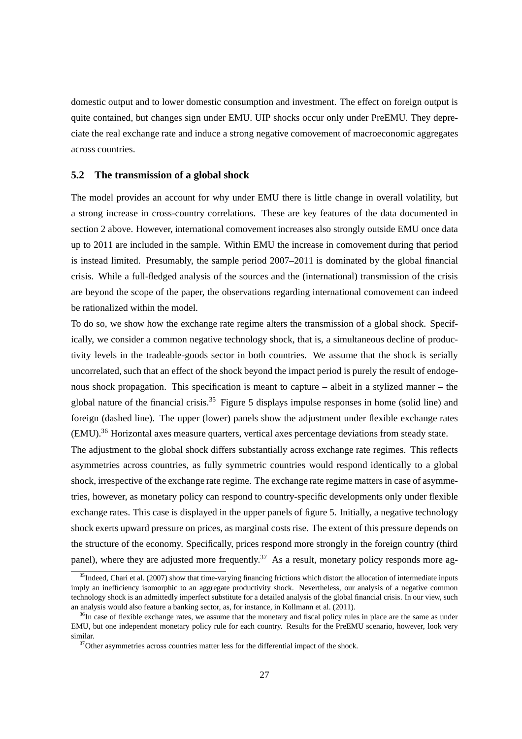domestic output and to lower domestic consumption and investment. The effect on foreign output is quite contained, but changes sign under EMU. UIP shocks occur only under PreEMU. They depreciate the real exchange rate and induce a strong negative comovement of macroeconomic aggregates across countries.

#### **5.2 The transmission of a global shock**

The model provides an account for why under EMU there is little change in overall volatility, but a strong increase in cross-country correlations. These are key features of the data documented in section 2 above. However, international comovement increases also strongly outside EMU once data up to 2011 are included in the sample. Within EMU the increase in comovement during that period is instead limited. Presumably, the sample period 2007–2011 is dominated by the global financial crisis. While a full-fledged analysis of the sources and the (international) transmission of the crisis are beyond the scope of the paper, the observations regarding international comovement can indeed be rationalized within the model.

To do so, we show how the exchange rate regime alters the transmission of a global shock. Specifically, we consider a common negative technology shock, that is, a simultaneous decline of productivity levels in the tradeable-goods sector in both countries. We assume that the shock is serially uncorrelated, such that an effect of the shock beyond the impact period is purely the result of endogenous shock propagation. This specification is meant to capture – albeit in a stylized manner – the global nature of the financial crisis.<sup>35</sup> Figure 5 displays impulse responses in home (solid line) and foreign (dashed line). The upper (lower) panels show the adjustment under flexible exchange rates (EMU).<sup>36</sup> Horizontal axes measure quarters, vertical axes percentage deviations from steady state.

The adjustment to the global shock differs substantially across exchange rate regimes. This reflects asymmetries across countries, as fully symmetric countries would respond identically to a global shock, irrespective of the exchange rate regime. The exchange rate regime matters in case of asymmetries, however, as monetary policy can respond to country-specific developments only under flexible exchange rates. This case is displayed in the upper panels of figure 5. Initially, a negative technology shock exerts upward pressure on prices, as marginal costs rise. The extent of this pressure depends on the structure of the economy. Specifically, prices respond more strongly in the foreign country (third panel), where they are adjusted more frequently.<sup>37</sup> As a result, monetary policy responds more ag-

 $35$ Indeed, Chari et al. (2007) show that time-varying financing frictions which distort the allocation of intermediate inputs imply an inefficiency isomorphic to an aggregate productivity shock. Nevertheless, our analysis of a negative common technology shock is an admittedly imperfect substitute for a detailed analysis of the global financial crisis. In our view, such an analysis would also feature a banking sector, as, for instance, in Kollmann et al. (2011).

 $36$ In case of flexible exchange rates, we assume that the monetary and fiscal policy rules in place are the same as under EMU, but one independent monetary policy rule for each country. Results for the PreEMU scenario, however, look very similar.

 $37$ Other asymmetries across countries matter less for the differential impact of the shock.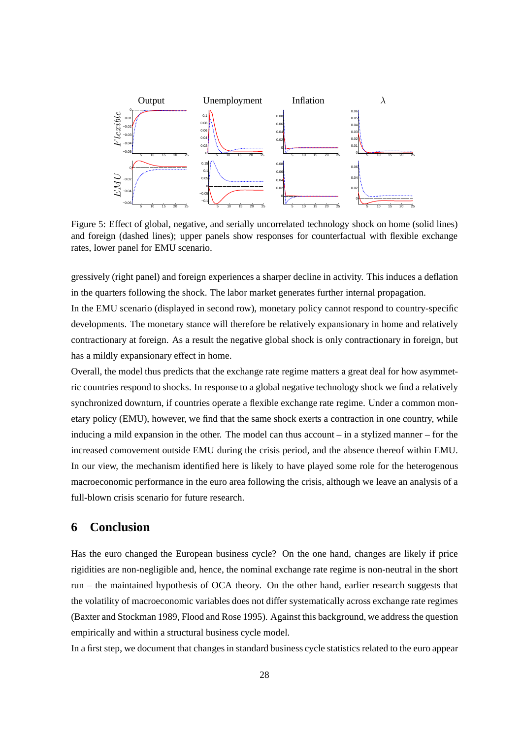

Figure 5: Effect of global, negative, and serially uncorrelated technology shock on home (solid lines) and foreign (dashed lines); upper panels show responses for counterfactual with flexible exchange rates, lower panel for EMU scenario.

gressively (right panel) and foreign experiences a sharper decline in activity. This induces a deflation in the quarters following the shock. The labor market generates further internal propagation. In the EMU scenario (displayed in second row), monetary policy cannot respond to country-specific developments. The monetary stance will therefore be relatively expansionary in home and relatively contractionary at foreign. As a result the negative global shock is only contractionary in foreign, but has a mildly expansionary effect in home.

Overall, the model thus predicts that the exchange rate regime matters a great deal for how asymmetric countries respond to shocks. In response to a global negative technology shock we find a relatively synchronized downturn, if countries operate a flexible exchange rate regime. Under a common monetary policy (EMU), however, we find that the same shock exerts a contraction in one country, while inducing a mild expansion in the other. The model can thus account – in a stylized manner – for the increased comovement outside EMU during the crisis period, and the absence thereof within EMU. In our view, the mechanism identified here is likely to have played some role for the heterogenous macroeconomic performance in the euro area following the crisis, although we leave an analysis of a full-blown crisis scenario for future research.

# **6 Conclusion**

Has the euro changed the European business cycle? On the one hand, changes are likely if price rigidities are non-negligible and, hence, the nominal exchange rate regime is non-neutral in the short run – the maintained hypothesis of OCA theory. On the other hand, earlier research suggests that the volatility of macroeconomic variables does not differ systematically across exchange rate regimes (Baxter and Stockman 1989, Flood and Rose 1995). Against this background, we address the question empirically and within a structural business cycle model.

In a first step, we document that changes in standard business cycle statistics related to the euro appear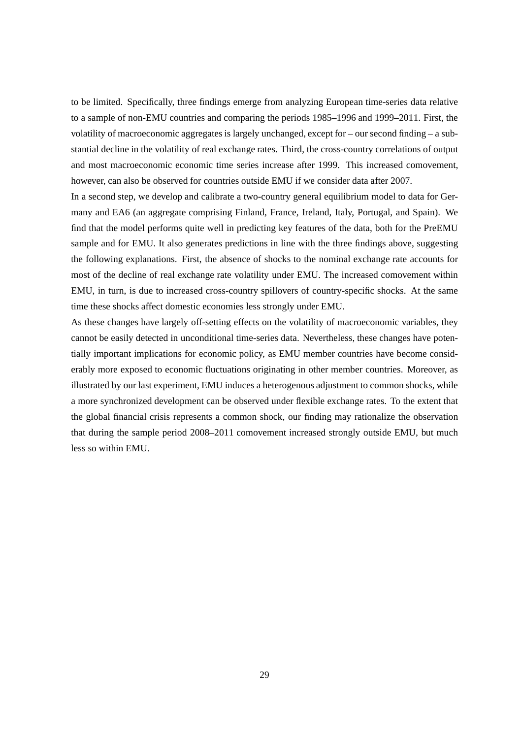to be limited. Specifically, three findings emerge from analyzing European time-series data relative to a sample of non-EMU countries and comparing the periods 1985–1996 and 1999–2011. First, the volatility of macroeconomic aggregates is largely unchanged, except for – our second finding – a substantial decline in the volatility of real exchange rates. Third, the cross-country correlations of output and most macroeconomic economic time series increase after 1999. This increased comovement, however, can also be observed for countries outside EMU if we consider data after 2007.

In a second step, we develop and calibrate a two-country general equilibrium model to data for Germany and EA6 (an aggregate comprising Finland, France, Ireland, Italy, Portugal, and Spain). We find that the model performs quite well in predicting key features of the data, both for the PreEMU sample and for EMU. It also generates predictions in line with the three findings above, suggesting the following explanations. First, the absence of shocks to the nominal exchange rate accounts for most of the decline of real exchange rate volatility under EMU. The increased comovement within EMU, in turn, is due to increased cross-country spillovers of country-specific shocks. At the same time these shocks affect domestic economies less strongly under EMU.

As these changes have largely off-setting effects on the volatility of macroeconomic variables, they cannot be easily detected in unconditional time-series data. Nevertheless, these changes have potentially important implications for economic policy, as EMU member countries have become considerably more exposed to economic fluctuations originating in other member countries. Moreover, as illustrated by our last experiment, EMU induces a heterogenous adjustment to common shocks, while a more synchronized development can be observed under flexible exchange rates. To the extent that the global financial crisis represents a common shock, our finding may rationalize the observation that during the sample period 2008–2011 comovement increased strongly outside EMU, but much less so within EMU.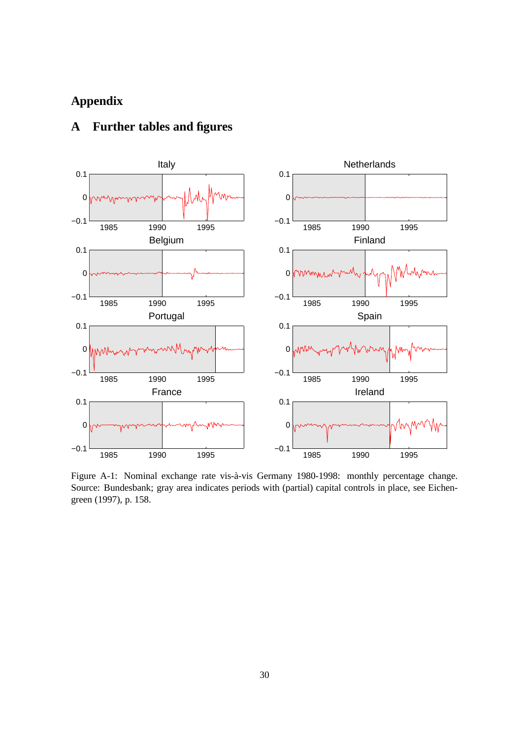# **Appendix**



# **A Further tables and figures**

Figure A-1: Nominal exchange rate vis-à-vis Germany 1980-1998: monthly percentage change. Source: Bundesbank; gray area indicates periods with (partial) capital controls in place, see Eichengreen (1997), p. 158.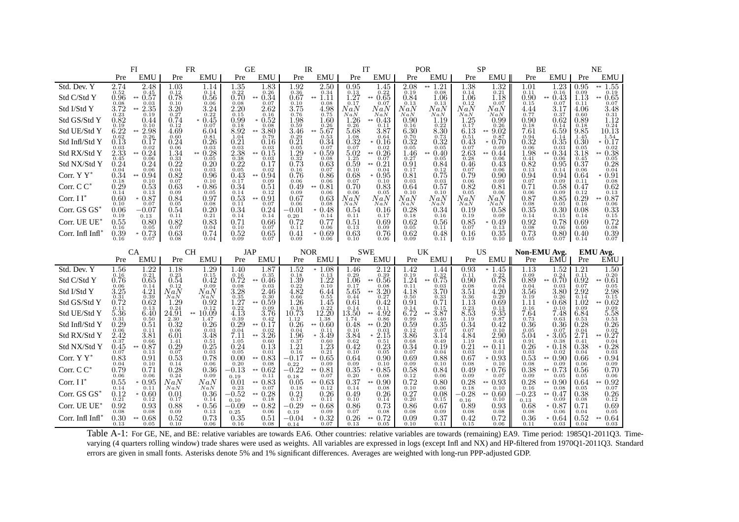|                 | FI                        |                                                      |                                                                        | <b>FR</b>                       |                                                            | <b>GE</b>                                 |                                                                       | IR                                                   |                                                     | IT                                                      |                                                                                     | POR                                                 |                                 | <b>SP</b>                                                            |                                                            | <b>BE</b>                                                                                        |                                                                    | NE                                                                                                        |
|-----------------|---------------------------|------------------------------------------------------|------------------------------------------------------------------------|---------------------------------|------------------------------------------------------------|-------------------------------------------|-----------------------------------------------------------------------|------------------------------------------------------|-----------------------------------------------------|---------------------------------------------------------|-------------------------------------------------------------------------------------|-----------------------------------------------------|---------------------------------|----------------------------------------------------------------------|------------------------------------------------------------|--------------------------------------------------------------------------------------------------|--------------------------------------------------------------------|-----------------------------------------------------------------------------------------------------------|
|                 | Pre                       | <b>EMU</b>                                           | Pre                                                                    | <b>EMU</b>                      | Pre                                                        | <b>EMU</b>                                | Pre                                                                   | EMU                                                  | Pre                                                 | EMU                                                     | Pre                                                                                 | <b>EMU</b>                                          | Pre                             | EMU                                                                  | Pre                                                        | <b>EMU</b>                                                                                       | Pre                                                                | <b>EMU</b>                                                                                                |
| Std. Dev. Y     | 2.74<br>0.52              | $2.48$<br>$0.45$                                     | 1.03                                                                   | 1.14<br>0.14                    | $\begin{array}{c} 1.35 \\ 0.22 \\ 0.70 \end{array}$        | 1.83                                      | $\overline{\begin{smallmatrix} 1.92\\ 0.36\\ 0.67 \end{smallmatrix}}$ | $\substack{2.50\\0.34}$                              | $\overline{0.95\atop 0.13\atop 1.27}$               | $\frac{1.45}{0.22}$<br>** 0.65                          | $\overline{\begin{smallmatrix} 2.08\\ 0.19\\ 0.84 \end{smallmatrix}}$               | $\begin{array}{cc} * \ 1.21 \\ 0.08 \end{array}$    | $\underset{0.14}{1.38}$         | $\underset{1.18}{\overset{1.32}{\scriptstyle 0.21}}$                 | $1.01$ <sub>0.11</sub>                                     | $1.23$ <sub>0.16</sub>                                                                           | 0.95<br>0.09                                                       | $\ast\ast$                                                                                                |
| Std C/Std Y     | 0.96                      | $*$ 0.57                                             | $\overline{0.12}$<br>0.78                                              | 0.56                            |                                                            | $\begin{array}{r} .56 \\ +34 \end{array}$ |                                                                       | $*$ 1.11                                             |                                                     |                                                         |                                                                                     | 1.06                                                | 1.06<br>0.12                    |                                                                      | 0.90                                                       | 0.43<br>**                                                                                       | 1.13                                                               | $\begin{array}{c} 1.55 \\ 0.19 \\ 0.65 \\ 0.07 \\ 3.48 \\ 0.31 \\ \end{array}$<br>$\ast\ast$              |
| Std I/Std Y     | $\substack{0.08 \\ 3.72}$ | 0.03<br>2.35                                         | 0.10<br>$3.20_{0.27}$                                                  | 0.06<br>3.24                    | 0.08<br>$2.20_{0.15}$                                      | 0.07<br>2.62                              | $\frac{0.10}{3.75}$                                                   | 0.08<br>4.98                                         | 0.17<br>NaN                                         | 0.07<br>Na                                              | $\stackrel{0.13}{NaN}$                                                              | 0.13<br>NaN                                         | $_{NaN}$                        | 0.07<br>$_{NaN}$                                                     | 0.15<br>4.44                                               | 0.07<br>$3.1^{\circ}$                                                                            | 0.11<br>4.06                                                       |                                                                                                           |
| Std GS/Std Y    | 0.23<br>$_{0.19}^{0.82}$  | 0.19<br>0.44<br>0.10                                 | 0.74<br>0.12                                                           | 0.22<br>* 0.45<br>0.07          | $_{0.18}^{0.99}$                                           | 0.16<br>$*0.52$<br>0.08                   | 0.76                                                                  | 0.75<br>1.60<br>0.26                                 | NaN<br>$\frac{1.26}{0.26}$                          | NaN<br>$*$ 0.43                                         | N a N                                                                               | NaN                                                 | NaN<br>$1.25$ <sub>0.17</sub>   | NaN<br>$0.99$ <sub>0.26</sub>                                        | 0.77<br>$_{0.18}^{0.90}$                                   | 0.37<br>$0.62$<br>$0.14$                                                                         | $0.\overline{60}$<br>$\underset{0.18}{0.89}$                       |                                                                                                           |
| Std UE/Std Y    | 6.22<br>**                | 2.98                                                 | 4.69                                                                   | 6.04                            | 8.92                                                       | 3.80<br>$* *$                             | $\frac{1.98}{0.59}$<br>3.46                                           | $*$ 5.67                                             | 5.68                                                | $3.\overline{87}$                                       |                                                                                     | $\begin{array}{c} 1.19 \\ 0.22 \\ 8.30 \end{array}$ | 6.13                            | $*$ 9.02                                                             | 7.61                                                       | 6.59                                                                                             | 9.85                                                               |                                                                                                           |
| Std Infl/Std Y  | $_{0.62}$<br>0.13         | 0.26<br>0.17<br>0.02                                 | $\overset{0.60}{\underset{0.06}{0.24}}\,\, 0.001$                      | 0.81<br>0.26<br>0.03            | 1.04<br>0.21<br>0.03                                       | 0.79<br>0.16<br>0.03                      | $\overset{0.29}{\underset{0.05}{0.21}}$                               | $\substack{0.53 \\ 0.34}$                            | 0.32<br>0.07                                        | 0.64<br>$* 0.16$<br>0.02                                | $\begin{array}{c} 0.90 \\ 0.16 \\ 6.30 \\ 0.70 \\ 0.32 \\ 0.05 \\ 1.46 \end{array}$ | $\overset{0.73}{0.32}$<br>0.05                      | 0.51<br>0.43<br>0.07            | $*~0.87$<br>$*~0.70$<br>0.09                                         | $\overset{0.94}{0.32}$<br>0.06                             | 1.14<br>0.35                                                                                     | $\frac{1.45}{0.30}$<br>0.05                                        |                                                                                                           |
| Std RX/Std Y    | 2.33<br>$**$              | 0.24                                                 |                                                                        | 0.28<br>$***$                   | 2.38                                                       | 0.15<br>$***$                             |                                                                       | 0.07<br>$*0.59$                                      | 5.02                                                | $*$ 0.26                                                |                                                                                     | 0.40                                                | 2.63                            | 0.44<br>**                                                           | 1.98                                                       | 0.03<br>0.34                                                                                     | 3.18                                                               |                                                                                                           |
| Std NX/Std Y    | 0.45<br>0.24<br>0.04      | 0.06<br>0.24<br>0.06                                 | 0.33<br>$0.22$<br>$0.04$                                               | 0.05<br>0.20<br>0.03            | 0.38<br>0.22<br>0.05                                       | 0.03<br>0.17<br>0.02                      | $\overset{0.32}{0.73}$<br>0.16                                        | 0.08<br>0.63<br>0.07                                 | $\frac{1.25}{0.59}$<br>0.10                         | 0.07<br>$*$ 0.21                                        | $\overline{0.27}$<br>$0.91$<br>0.17                                                 | 0.05<br>0.84<br>0.12                                | 0.28<br>0.46<br>0.07            | 0.06<br>0.43<br>0.06                                                 | 0.41<br>0.82<br>0.13                                       | 0.06<br>0.95<br>0.14                                                                             | $0.45$<br>$0.37$<br>0.06                                           | $\begin{array}{r} 0.31\ 1.12\ 0.24\ 10.13\ * \ 1.54\ * \ 0.17\ 0.02\ 0.38\ 0.05\ 0.28\ 0.04\ \end{array}$ |
| Corr. Y Y*      | 0.34<br>**<br>0.18        | 0.94<br>0.10                                         | $\underset{0.07}{0.82}$                                                | 0.96<br>0.10                    | 0.43<br>0.17                                               | 0.94<br>$* *$<br>0.09                     | 0.76<br>0.06                                                          | 0.86<br>0.06                                         | $0.68$<br>$0.07$                                    | $\underset{0.10}{\ast}$ 0.95                            | $\underset{0.03}{0.81}$                                                             | 0.75<br>0.03                                        | 0.79<br>0.06                    | 0.90<br>0.09                                                         | $_{0.07}^{0.94}$                                           | 0.94<br>0.09                                                                                     | 0.64<br>0.11                                                       | $* \begin{array}{c} 0.91 \\ 0.91 \\ 0.08 \\ 0.62 \\ 0.13 \\ 0.87 \\ 0.06 \\ 0.33 \end{array}$             |
| Corr. C C*      | 0.29<br>0.14              | 0.53<br>0.13                                         | 0.63<br>0.09                                                           | 0.86<br>0.05                    | 0.34<br>0.14                                               | 0.51<br>0.12                              | 0.49<br>0.09                                                          | $*$ 0.81<br>0.06                                     | 0.70<br>0.06                                        | 0.83<br>0.05                                            | 0.64<br>0.10                                                                        | 0.57<br>0.10                                        | 0.82<br>0.05                    | 0.81<br>0.06                                                         | 0.71<br>0.06                                               | 0.58<br>0.09                                                                                     | 0.47<br>0.12                                                       |                                                                                                           |
| Corr. I I*      | 0.60<br>0.10              | $*0.87$<br>0.07                                      | $0.84$ <sub>0.05</sub>                                                 | 0.97<br>0.08                    | 0.53                                                       | 0.91<br>$\ast\ast$<br>0.07                | 0.67<br>0.06                                                          | 0.63<br>0.08                                         | $_{NaN}$                                            | NaN                                                     | N a N                                                                               | NaN                                                 | $_{NaN}$                        | NaN                                                                  | $0.87_{0.08}$                                              | 0.85<br>0.05                                                                                     | 0.29                                                               |                                                                                                           |
| Corr. GS GS*    | $0.06\,$<br>0.19          | $-0.07$                                              | 0.54<br>0.11                                                           | 0.20<br>0.21                    | 0.11<br>0.34<br>0.14                                       | 0.24<br>0.14                              | $^{-0.01}$                                                            | $*0.48$<br>0.14                                      | $\frac{NaN}{0.54}$<br>0.11                          | $NaN$<br>0.16<br>0.17                                   | NaN<br>$\underset{0.18}{0.28}$                                                      | NaN<br>0.34<br>0.16                                 | NaN<br>0.19<br>0.19             | NaN<br>0.58<br>0.09                                                  | 0.35<br>0.14                                               | 0.30<br>0.15                                                                                     | 0.16<br>0.08<br>0.14                                               | $\underset{0.15}{0.33}$                                                                                   |
| Corr. UE UE*    | 0.55                      | 0.13<br>0.80                                         | $\underset{0.07}{0.82}$                                                | 0.83<br>0.04                    | 0.71                                                       | 0.66<br>0.07                              | 0.20<br>$0.72$ <sub>0.11</sub>                                        | 0.77                                                 | 0.51                                                | 0.69                                                    | 0.62<br>0.05                                                                        | 0.56<br>0.11                                        | 0.85<br>0.07                    | $\hspace{0.1cm}$ $\hspace{0.1cm}$ $\hspace{0.1cm}$ 0.49              | $\underset{0.08}{0.92}$                                    | 0.78<br>0.06                                                                                     | 0.69                                                               | $\underset{0.08}{0.72}$                                                                                   |
| Corr. Infl Infl | 0.16<br>0.39<br>0.16      | 0.05<br>0.73<br>0.07                                 | 0.63<br>0.08                                                           | $_{0.04}^{0.74}$                | 0.10<br>$\underset{0.09}{0.52}$                            | 0.65<br>0.07                              | 0.41<br>0.09                                                          | 0.06<br>$*0.69$<br>0.06                              | 0.13<br>0.63<br>0.10                                | 0.09<br>$\underset{0.06}{0.76}$                         | 0.62<br>0.09                                                                        | $_{0.11}^{0.48}$                                    | 0.16<br>0.19                    | 0.13<br>0.35<br>0.10                                                 | 0.73<br>0.05                                               | 0.80<br>0.07                                                                                     | 0.06<br>$0.40$<br>$0.14$                                           | $\underset{0.07}{0.39}$                                                                                   |
|                 |                           |                                                      |                                                                        |                                 |                                                            |                                           |                                                                       |                                                      |                                                     |                                                         |                                                                                     |                                                     |                                 |                                                                      |                                                            |                                                                                                  |                                                                    |                                                                                                           |
|                 |                           |                                                      |                                                                        |                                 |                                                            |                                           |                                                                       |                                                      |                                                     |                                                         |                                                                                     |                                                     |                                 |                                                                      |                                                            |                                                                                                  |                                                                    |                                                                                                           |
|                 | <b>CA</b><br>Pre          | <b>EMU</b>                                           |                                                                        | <b>CH</b>                       | Pre                                                        | <b>JAP</b><br>EMU                         | Pre                                                                   | <b>NOR</b>                                           |                                                     | <b>SWE</b>                                              | Pre                                                                                 | UK<br><b>EMU</b>                                    | Pre                             | <b>US</b><br><b>EMU</b>                                              |                                                            | Non-EMU Avg.<br><b>EMU</b>                                                                       | Pre                                                                | <b>EMU</b> Avg.                                                                                           |
| Std. Dev. Y     | 1.56                      |                                                      | Pre                                                                    | <b>EMU</b>                      |                                                            |                                           |                                                                       | ${\rm EMU}$                                          | Pre                                                 | EMU                                                     |                                                                                     |                                                     |                                 |                                                                      | Pre                                                        |                                                                                                  |                                                                    | <b>EMU</b>                                                                                                |
| Std C/Std Y     | $\substack{0.16 \\ 0.76}$ | $\underset{0.21}{\overset{1.22}{\scriptstyle 0.21}}$ | $\begin{smallmatrix} 1.18\\ 0.23\\ 0.54 \end{smallmatrix}$             | $\underset{0.15}{1.29}$<br>0.42 | $\begin{smallmatrix} 1.40\\ 0.16\\ 0.72 \end{smallmatrix}$ | $1.87_{0.35}$<br>$*$ 0.46                 | $\begin{array}{c} 1.52 \\ 0.18 \\ 1.39 \end{array}$                   | $\overset{\text{\tiny{*}}}{\substack{0.13 \\ 1.22}}$ | $\begin{array}{c} 1.46 \\ 0.29 \\ 1.06 \end{array}$ | $\begin{array}{r} 2.12 \\ 0.39 \\ * & 0.56 \end{array}$ | $\begin{array}{c} 1.42 \\ 0.19 \\ 1.24 \end{array}$                                 | $\begin{array}{c} 1.44 \\ 0.32 \\ 0.75 \end{array}$ | $\underset{0.11}{0.93}$<br>0.90 | $\underset{0.22}{\overset{1.45}{\scriptstyle \hspace{-0.4ex} 0.22}}$ | $\begin{smallmatrix} 1.13\\ 0.09\\ 0.89 \end{smallmatrix}$ | $\begin{array}{r} 1.52 \\ \scriptstyle{0.24} \\ \scriptstyle{**} \scriptstyle{0.70} \end{array}$ | $\overline{\begin{smallmatrix} 1.21\\0.11\\0.92\end{smallmatrix}}$ |                                                                                                           |
| Std I/Std Y     | 0.06<br>3.25              | 0.14<br>4.21                                         | 0.12<br>$_{NaN}$                                                       | 0.09<br>$_{NaN}$                | 0.08<br>$\overline{3.28}$                                  | 0.03<br>2.46                              | $\overset{0.\bar{2}\bar{2}}{4.82}$                                    | 0.10<br>6.44                                         | 0.17<br>5.65                                        | 0.08<br>$\ast\ast$                                      | $\overset{0.11}{4.18}$                                                              | $\frac{0.03}{3.70}$                                 | 0.08<br>3.51                    | 0.04<br>4.20                                                         | 0.04<br>3.56                                               | 0.03<br>3.80                                                                                     |                                                                    |                                                                                                           |
| Std GS/Std Y    | 0.31                      | 0.39                                                 | NaN                                                                    | NaN<br>0.92                     | 0.35                                                       | 0.30<br>0.59                              | $0.\overline{66}$<br>1.26                                             | 0.55<br>1.45                                         | 0.44                                                | $3.20$<br>$0.27$                                        | 0.50                                                                                | 0.33<br>0.71                                        | 0.36<br>1.13                    | 0.29<br>0.69                                                         | 0.19<br>1.11                                               | 0.26                                                                                             | $2.92$<br>0.14<br>1.02                                             | $\begin{array}{r} 1.50 \\ 0.20 \\ 0.61 \\ 0.05 \\ 2.98 \\ 0.15 \\ \end{array}$                            |
| Std UE/Std Y    | $0.72$<br>$0.11$<br>5.36  | $0.62$<br>$0.13$<br>6.40                             | $\frac{1.29}{0.24}$<br>24.91                                           | 0.12<br>10.09<br>$\ast\ast$     | $1.27_{0.22}$<br>4.13                                      | 0.09<br>3.76                              | $\overline{0.18}$<br>10.73                                            | 0.22<br>12.20                                        | $_{0.14}^{0.61}$<br>13.50                           | $\underset{0.11}{0.42}$<br>** $4.92$                    | $\overset{0.91}{\phantom{0}0.14}_{\phantom{0}6.72}$                                 | $\frac{0.15}{3.87}$                                 | $\frac{0.23}{8.53}$             | $\overset{0.13}{9.35}$                                               | 0.16<br>7.64                                               | $0.68$ <sub>0.10</sub><br>7.48                                                                   | 0.09<br>6.84                                                       | $\frac{0.62}{0.09}$<br>5.58                                                                               |
| Std Infl/Std Y  | $0.31$<br>$0.29$          | 0.50<br>0.51                                         | $^{2.30}_{0.32}$                                                       | 1.47<br>0.26                    | 0.39                                                       | 0.42<br>0.17<br>$* *$                     | $\frac{1.12}{0.26}$                                                   | 1.38<br>$*$ 0.60                                     | $\frac{1.74}{0.48}$                                 |                                                         |                                                                                     | 0.40<br>0.35                                        | 1.19<br>0.34                    | $_{0.42}^{0.87}$                                                     | 0.736                                                      | 0.63<br>0.36                                                                                     |                                                                    |                                                                                                           |
| Std RX/Std Y    | 0.06<br>2.42              | 0.11<br>3.81                                         | 0.06<br>6.01                                                           | 0.03<br>3.48                    | 0.29<br>7.11                                               | 0.02<br>3.26<br>$\ast\ast$                | 0.04<br>1.96                                                          | 0.11<br>$*3.49$                                      | 3.84                                                | * $0.86$<br>* $0.20$<br>0.03<br>2.15<br>*.              | $\begin{smallmatrix} 0.99\\ 0.59\\ 0.12\\ 3.86 \end{smallmatrix}$                   | 0.07<br>3.14                                        | 0.07<br>4.84                    | 0.10<br>2.90                                                         | 0.05<br>5.04                                               | 0.07<br>3.05                                                                                     | $\begin{array}{c} 0.53 \\ 0.28 \\ 0.04 \\ 2.71 \end{array}$        | $0.53$<br>$0.26$<br>$0.02$<br>$0.27$                                                                      |
| Std NX/Std Y    | $_{0.37}$<br>0.45<br>$**$ | 0.66<br>0.87                                         |                                                                        | 0.51<br>0.25                    | 1.05<br>0.24                                               | 0.60<br>0.13                              | $^{0.37}_{1.21}$                                                      | 0.60<br>1.23                                         | $0.62$<br>$0.42$                                    |                                                         | $\overset{0.68}{0.34}$                                                              | 0.49<br>0.19                                        | 1.19<br>0.21                    | 0.41<br>$*$ 0.11                                                     | 0.91<br>0.26                                               | 0.38<br>$* 0.18$                                                                                 | 0.41<br>0.38                                                       |                                                                                                           |
| Corr. Y Y*      | 0.07<br>0.83              | 0.13<br>$\rm 0.91$                                   | $\underset{0.07}{\overset{1.41}{\underset{0.07}{\phantom{}}}}$<br>0.53 | 0.03<br>0.78                    | 0.05<br>0.00                                               | 0.01<br>$*$ 0.83                          | 0.16<br>-0.17                                                         | 0.21<br>$*$ 0.65                                     | 0.10                                                | $0.51$<br>$0.23$<br>$0.05$<br>0.90                      | 0.07                                                                                | 0.04<br>0.88                                        | 0.03<br>0.67                    | 0.01<br>$*0.93$                                                      | 0.03<br>0.53                                               | 0.02<br>$*$ 0.90                                                                                 | 0.04<br>0.66                                                       | $* \, \overset{0.04}{0.28}_{0.03}$                                                                        |
| Corr. C C*      | 0.04<br>0.79              | 0.10<br>0.71                                         | 0.14                                                                   | 0.06<br>0.36                    | 0.20<br>$^{\rm -0.13}$                                     | 0.08<br>$*$ 0.62                          | 0.22<br>$-0.22$                                                       | 0.09<br>$*$ 0.81                                     | $0.64_{0.09}$                                       | 0.10                                                    | $\underset{0.09}{0.69}$                                                             | 0.10<br>0.84                                        | 0.08<br>0.49                    | 0.10<br>$*0.76$                                                      | 0.08                                                       | 0.09<br>$*$ 0.73                                                                                 | 0.06<br>0.56                                                       | $*$ 0.94 0.09                                                                                             |
| Corr. I I*      | 0.06<br>0.55              | 0.06<br>0.95                                         | $\underset{0.24}{0.28}$<br>NaN                                         | 0.09<br>NaN                     | 0.19<br>0.01                                               | 0.11<br>$*$ 0.83                          | 0.18<br>0.05                                                          | 0.07<br>$*$ 0.63                                     | $\underset{0.20}{0.35}$<br>0.37                     | $\underset{0.08}{*}0.85$<br>0.90<br>**                  | $\underset{0.12}{0.58}$                                                             | 0.06<br>0.80                                        | 0.09<br>0.28                    | 0.07<br>$*$ 0.93                                                     | $\underset{0.09}{0.38}$<br>0.28                            | 0.05<br>$*$ 0.90                                                                                 | 0.05<br>0.64                                                       | $\underset{0.06}{0.70}$                                                                                   |
| Corr. GS GS*    | 0.14<br>$\rm 0.12$        | 0.11<br>0.60                                         | NaN<br>0.01                                                            | NaN<br>0.36                     | 0.23<br>$^{\rm -0.52}$                                     | 0.07<br>0.28<br>$\ast\ast$                | 0.18<br>0.21                                                          | 0.12<br>0.26                                         | 0.14<br>0.49                                        | 0.08                                                    | $\underset{0.10}{0.72}$                                                             | 0.06<br>0.08                                        | 0.18<br>$-0.28$                 | 0.10<br>0.60<br>$\ast\ast$                                           | 0.16<br>$-0.23$                                            | 0.08<br>$*$ 0.47                                                                                 | 0.05<br>0.38                                                       | $\underset{0.07}{0.92}$                                                                                   |
| Corr. UE UE*    | 0.21<br>0.92<br>0.08      | 0.12<br>0.93<br>0.08                                 | 0.17<br>0.88<br>0.09                                                   | 0.14<br>$* 0.56$<br>0.13        | 0.10<br>$-0.09$<br>0.25                                    | 0.18<br>0.82<br>$\ast\ast$<br>0.06        | 0.17<br>$-0.29$<br>0.19                                               | 0.11<br>$*$ 0.68<br>0.09                             | 0.10<br>0.86<br>0.07                                | $\underset{0.14}{0.26}$<br>0.73<br>0.08                 | $0.27 \ 0.20$<br>0.86<br>0.08                                                       | 0.15<br>0.67<br>0.09                                | 0.16<br>0.89<br>0.08            | 0.10<br>0.93<br>0.08                                                 | 0.13<br>$_{0.68}$<br>0.08                                  | 0.09<br>$*0.87$<br>0.06                                                                          | 0.08<br>0.71<br>0.04                                               | $\underset{0.12}{0.26}$<br>0.69<br>0.05                                                                   |

Table A-1: For GE, NE, and BE: relative variables are towards EA6. Other countries: relative variables are towards (remaining) EA9. Time period: 1985Q1-2011Q3. Timevarying (4 quarters rolling window) trade shares were used as weights. All variables are expressed in logs (except Infl and NX) and HP-filtered from 1970Q1-2011Q3. Standarderrors are given in small fonts. Asterisks denote 5% and 1% significant differences. Averages are weighted with long-run PPP-adjusted GDP.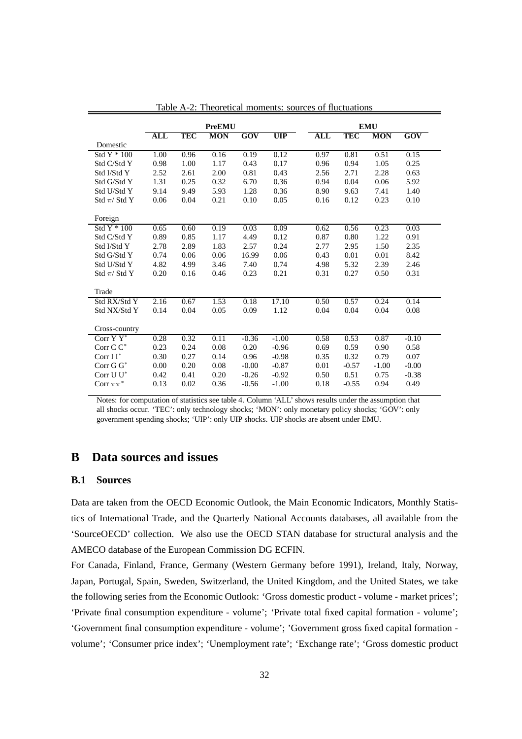|                                         | PreEMU     |            |            |         |                         | <b>EMU</b> |            |            |         |  |
|-----------------------------------------|------------|------------|------------|---------|-------------------------|------------|------------|------------|---------|--|
|                                         | <b>ALL</b> | <b>TEC</b> | <b>MON</b> | GOV     | $\overline{\text{UIP}}$ | <b>ALL</b> | <b>TEC</b> | <b>MON</b> | GOV     |  |
| Domestic                                |            |            |            |         |                         |            |            |            |         |  |
| $\overline{StdY}$ * 100                 | 1.00       | 0.96       | 0.16       | 0.19    | 0.12                    | 0.97       | 0.81       | 0.51       | 0.15    |  |
| Std C/Std Y                             | 0.98       | 1.00       | 1.17       | 0.43    | 0.17                    | 0.96       | 0.94       | 1.05       | 0.25    |  |
| Std I/Std Y                             | 2.52       | 2.61       | 2.00       | 0.81    | 0.43                    | 2.56       | 2.71       | 2.28       | 0.63    |  |
| Std G/Std Y                             | 1.31       | 0.25       | 0.32       | 6.70    | 0.36                    | 0.94       | 0.04       | 0.06       | 5.92    |  |
| Std U/Std Y                             | 9.14       | 9.49       | 5.93       | 1.28    | 0.36                    | 8.90       | 9.63       | 7.41       | 1.40    |  |
| Std $\pi$ / Std Y                       | 0.06       | 0.04       | 0.21       | 0.10    | 0.05                    | 0.16       | 0.12       | 0.23       | 0.10    |  |
|                                         |            |            |            |         |                         |            |            |            |         |  |
| Foreign                                 |            |            |            |         |                         |            |            |            |         |  |
| $\overline{StdY} * 100$                 | 0.65       | 0.60       | 0.19       | 0.03    | 0.09                    | 0.62       | 0.56       | 0.23       | 0.03    |  |
| Std C/Std Y                             | 0.89       | 0.85       | 1.17       | 4.49    | 0.12                    | 0.87       | 0.80       | 1.22       | 0.91    |  |
| Std I/Std Y                             | 2.78       | 2.89       | 1.83       | 2.57    | 0.24                    | 2.77       | 2.95       | 1.50       | 2.35    |  |
| Std G/Std Y                             | 0.74       | 0.06       | 0.06       | 16.99   | 0.06                    | 0.43       | 0.01       | 0.01       | 8.42    |  |
| Std U/Std Y                             | 4.82       | 4.99       | 3.46       | 7.40    | 0.74                    | 4.98       | 5.32       | 2.39       | 2.46    |  |
| Std $\pi$ / Std Y                       | 0.20       | 0.16       | 0.46       | 0.23    | 0.21                    | 0.31       | 0.27       | 0.50       | 0.31    |  |
|                                         |            |            |            |         |                         |            |            |            |         |  |
| Trade                                   |            |            |            |         |                         |            |            |            |         |  |
| Std RX/Std Y                            | 2.16       | 0.67       | 1.53       | 0.18    | 17.10                   | 0.50       | 0.57       | 0.24       | 0.14    |  |
| Std NX/Std Y                            | 0.14       | 0.04       | 0.05       | 0.09    | 1.12                    | 0.04       | 0.04       | 0.04       | 0.08    |  |
|                                         |            |            |            |         |                         |            |            |            |         |  |
| Cross-country                           |            |            |            |         |                         |            |            |            |         |  |
| Corr $YY^*$                             | 0.28       | 0.32       | 0.11       | $-0.36$ | $-1.00$                 | 0.58       | 0.53       | 0.87       | $-0.10$ |  |
| $Corr C C^*$                            | 0.23       | 0.24       | 0.08       | 0.20    | $-0.96$                 | 0.69       | 0.59       | 0.90       | 0.58    |  |
| Corr $II^*$                             | 0.30       | 0.27       | 0.14       | 0.96    | $-0.98$                 | 0.35       | 0.32       | 0.79       | 0.07    |  |
| $Corr G G^*$                            | 0.00       | 0.20       | 0.08       | $-0.00$ | $-0.87$                 | 0.01       | $-0.57$    | $-1.00$    | $-0.00$ |  |
| $\mbox{Corr} \; \mbox{U} \; \mbox{U}^*$ | 0.42       | 0.41       | 0.20       | $-0.26$ | $-0.92$                 | 0.50       | 0.51       | 0.75       | $-0.38$ |  |
| Corr $\pi\pi^*$                         | 0.13       | 0.02       | 0.36       | $-0.56$ | $-1.00$                 | 0.18       | $-0.55$    | 0.94       | 0.49    |  |

Table A-2: Theoretical moments: sources of fluctuations

## **B Data sources and issues**

#### **B.1 Sources**

Data are taken from the OECD Economic Outlook, the Main Economic Indicators, Monthly Statistics of International Trade, and the Quarterly National Accounts databases, all available from the 'SourceOECD' collection. We also use the OECD STAN database for structural analysis and the AMECO database of the European Commission DG ECFIN.

For Canada, Finland, France, Germany (Western Germany before 1991), Ireland, Italy, Norway, Japan, Portugal, Spain, Sweden, Switzerland, the United Kingdom, and the United States, we take the following series from the Economic Outlook: 'Gross domestic product - volume - market prices'; 'Private final consumption expenditure - volume'; 'Private total fixed capital formation - volume'; 'Government final consumption expenditure - volume'; 'Government gross fixed capital formation volume'; 'Consumer price index'; 'Unemployment rate'; 'Exchange rate'; 'Gross domestic product

Notes: for computation of statistics see table 4. Column 'ALL' shows results under the assumption that all shocks occur. 'TEC': only technology shocks; 'MON': only monetary policy shocks; 'GOV': only government spending shocks; 'UIP': only UIP shocks. UIP shocks are absent under EMU.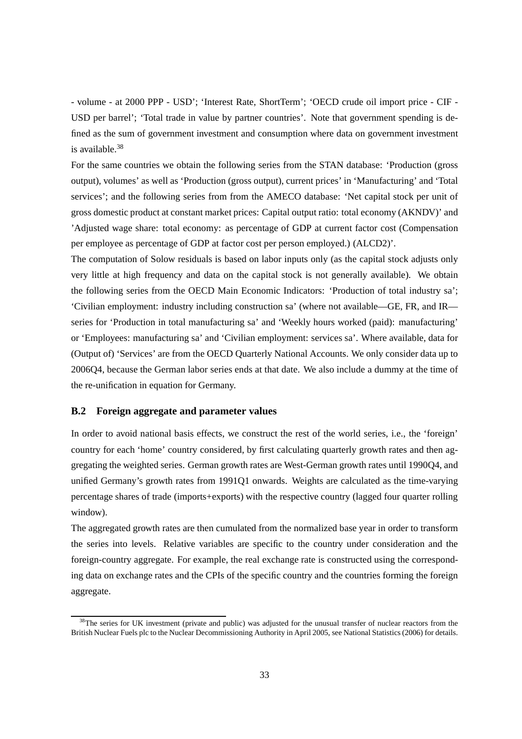- volume - at 2000 PPP - USD'; 'Interest Rate, ShortTerm'; 'OECD crude oil import price - CIF - USD per barrel'; 'Total trade in value by partner countries'. Note that government spending is defined as the sum of government investment and consumption where data on government investment is available.<sup>38</sup>

For the same countries we obtain the following series from the STAN database: 'Production (gross output), volumes' as well as 'Production (gross output), current prices' in 'Manufacturing' and 'Total services'; and the following series from from the AMECO database: 'Net capital stock per unit of gross domestic product at constant market prices: Capital output ratio: total economy (AKNDV)' and 'Adjusted wage share: total economy: as percentage of GDP at current factor cost (Compensation per employee as percentage of GDP at factor cost per person employed.) (ALCD2)'.

The computation of Solow residuals is based on labor inputs only (as the capital stock adjusts only very little at high frequency and data on the capital stock is not generally available). We obtain the following series from the OECD Main Economic Indicators: 'Production of total industry sa'; 'Civilian employment: industry including construction sa' (where not available—GE, FR, and IR series for 'Production in total manufacturing sa' and 'Weekly hours worked (paid): manufacturing' or 'Employees: manufacturing sa' and 'Civilian employment: services sa'. Where available, data for (Output of) 'Services' are from the OECD Quarterly National Accounts. We only consider data up to 2006Q4, because the German labor series ends at that date. We also include a dummy at the time of the re-unification in equation for Germany.

### **B.2 Foreign aggregate and parameter values**

In order to avoid national basis effects, we construct the rest of the world series, i.e., the 'foreign' country for each 'home' country considered, by first calculating quarterly growth rates and then aggregating the weighted series. German growth rates are West-German growth rates until 1990Q4, and unified Germany's growth rates from 1991Q1 onwards. Weights are calculated as the time-varying percentage shares of trade (imports+exports) with the respective country (lagged four quarter rolling window).

The aggregated growth rates are then cumulated from the normalized base year in order to transform the series into levels. Relative variables are specific to the country under consideration and the foreign-country aggregate. For example, the real exchange rate is constructed using the corresponding data on exchange rates and the CPIs of the specific country and the countries forming the foreign aggregate.

 $38$ The series for UK investment (private and public) was adjusted for the unusual transfer of nuclear reactors from the British Nuclear Fuels plc to the Nuclear Decommissioning Authority in April 2005, see National Statistics (2006) for details.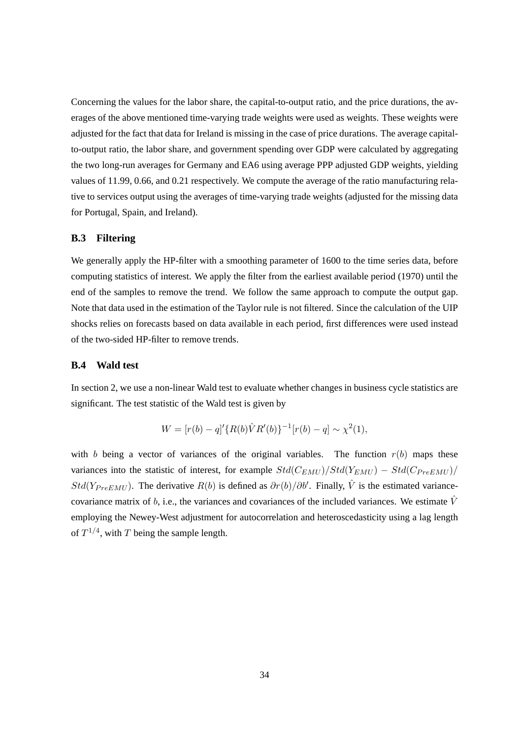Concerning the values for the labor share, the capital-to-output ratio, and the price durations, the averages of the above mentioned time-varying trade weights were used as weights. These weights were adjusted for the fact that data for Ireland is missing in the case of price durations. The average capitalto-output ratio, the labor share, and government spending over GDP were calculated by aggregating the two long-run averages for Germany and EA6 using average PPP adjusted GDP weights, yielding values of 11.99, 0.66, and 0.21 respectively. We compute the average of the ratio manufacturing relative to services output using the averages of time-varying trade weights (adjusted for the missing data for Portugal, Spain, and Ireland).

### **B.3 Filtering**

We generally apply the HP-filter with a smoothing parameter of 1600 to the time series data, before computing statistics of interest. We apply the filter from the earliest available period (1970) until the end of the samples to remove the trend. We follow the same approach to compute the output gap. Note that data used in the estimation of the Taylor rule is not filtered. Since the calculation of the UIP shocks relies on forecasts based on data available in each period, first differences were used instead of the two-sided HP-filter to remove trends.

#### **B.4 Wald test**

In section 2, we use a non-linear Wald test to evaluate whether changes in business cycle statistics are significant. The test statistic of the Wald test is given by

$$
W = [r(b) - q]' \{ R(b)\hat{V}R'(b) \}^{-1} [r(b) - q] \sim \chi^2(1),
$$

with b being a vector of variances of the original variables. The function  $r(b)$  maps these variances into the statistic of interest, for example  $Std(C_{EMU})/Std(Y_{EMU}) - Std(C_{PreEMU})/$  $Std(Y_{PreEMU})$ . The derivative  $R(b)$  is defined as  $\partial r(b)/\partial b'$ . Finally,  $\hat{V}$  is the estimated variancecovariance matrix of b, i.e., the variances and covariances of the included variances. We estimate  $\hat{V}$ employing the Newey-West adjustment for autocorrelation and heteroscedasticity using a lag length of  $T^{1/4}$ , with T being the sample length.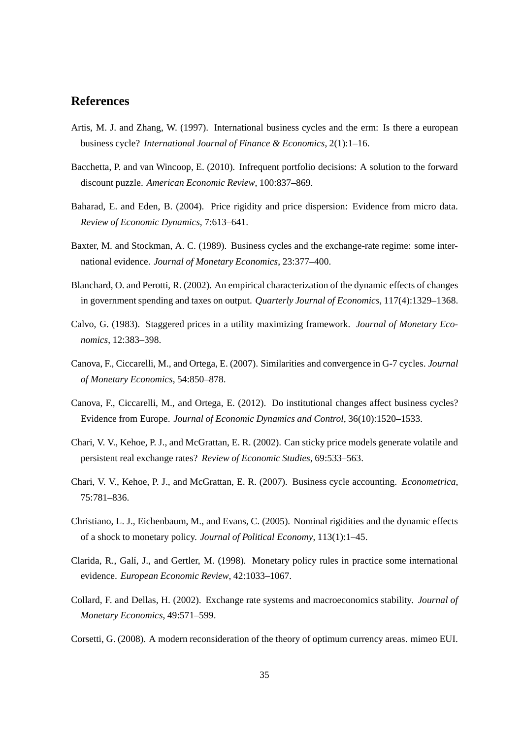# **References**

- Artis, M. J. and Zhang, W. (1997). International business cycles and the erm: Is there a european business cycle? *International Journal of Finance & Economics*, 2(1):1–16.
- Bacchetta, P. and van Wincoop, E. (2010). Infrequent portfolio decisions: A solution to the forward discount puzzle. *American Economic Review*, 100:837–869.
- Baharad, E. and Eden, B. (2004). Price rigidity and price dispersion: Evidence from micro data. *Review of Economic Dynamics*, 7:613–641.
- Baxter, M. and Stockman, A. C. (1989). Business cycles and the exchange-rate regime: some international evidence. *Journal of Monetary Economics*, 23:377–400.
- Blanchard, O. and Perotti, R. (2002). An empirical characterization of the dynamic effects of changes in government spending and taxes on output. *Quarterly Journal of Economics*, 117(4):1329–1368.
- Calvo, G. (1983). Staggered prices in a utility maximizing framework. *Journal of Monetary Economics*, 12:383–398.
- Canova, F., Ciccarelli, M., and Ortega, E. (2007). Similarities and convergence in G-7 cycles. *Journal of Monetary Economics*, 54:850–878.
- Canova, F., Ciccarelli, M., and Ortega, E. (2012). Do institutional changes affect business cycles? Evidence from Europe. *Journal of Economic Dynamics and Control*, 36(10):1520–1533.
- Chari, V. V., Kehoe, P. J., and McGrattan, E. R. (2002). Can sticky price models generate volatile and persistent real exchange rates? *Review of Economic Studies*, 69:533–563.
- Chari, V. V., Kehoe, P. J., and McGrattan, E. R. (2007). Business cycle accounting. *Econometrica*, 75:781–836.
- Christiano, L. J., Eichenbaum, M., and Evans, C. (2005). Nominal rigidities and the dynamic effects of a shock to monetary policy. *Journal of Political Economy*, 113(1):1–45.
- Clarida, R., Galí, J., and Gertler, M. (1998). Monetary policy rules in practice some international evidence. *European Economic Review*, 42:1033–1067.
- Collard, F. and Dellas, H. (2002). Exchange rate systems and macroeconomics stability. *Journal of Monetary Economics*, 49:571–599.
- Corsetti, G. (2008). A modern reconsideration of the theory of optimum currency areas. mimeo EUI.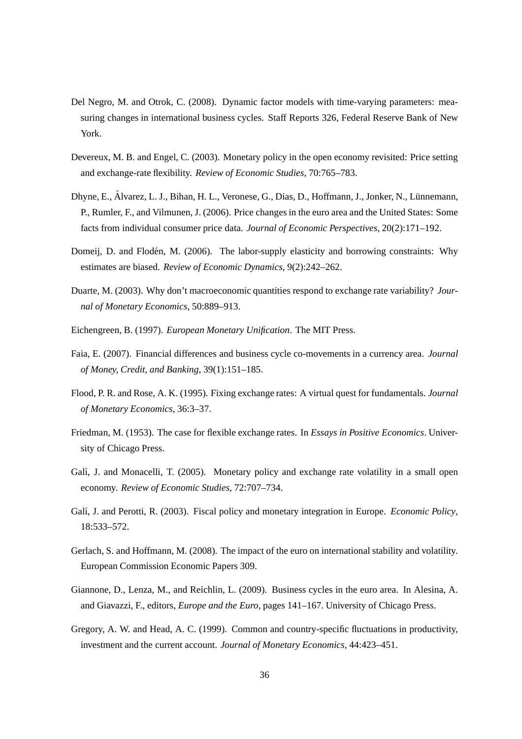- Del Negro, M. and Otrok, C. (2008). Dynamic factor models with time-varying parameters: measuring changes in international business cycles. Staff Reports 326, Federal Reserve Bank of New York.
- Devereux, M. B. and Engel, C. (2003). Monetary policy in the open economy revisited: Price setting and exchange-rate flexibility. *Review of Economic Studies*, 70:765–783.
- Dhyne, E., Álvarez, L. J., Bihan, H. L., Veronese, G., Dias, D., Hoffmann, J., Jonker, N., Lünnemann, P., Rumler, F., and Vilmunen, J. (2006). Price changes in the euro area and the United States: Some facts from individual consumer price data. *Journal of Economic Perspectives*, 20(2):171–192.
- Domeij, D. and Flodén, M. (2006). The labor-supply elasticity and borrowing constraints: Why estimates are biased. *Review of Economic Dynamics*, 9(2):242–262.
- Duarte, M. (2003). Why don't macroeconomic quantities respond to exchange rate variability? *Journal of Monetary Economics*, 50:889–913.
- Eichengreen, B. (1997). *European Monetary Unification*. The MIT Press.
- Faia, E. (2007). Financial differences and business cycle co-movements in a currency area. *Journal of Money, Credit, and Banking*, 39(1):151–185.
- Flood, P. R. and Rose, A. K. (1995). Fixing exchange rates: A virtual quest for fundamentals. *Journal of Monetary Economics*, 36:3–37.
- Friedman, M. (1953). The case for flexible exchange rates. In *Essays in Positive Economics*. University of Chicago Press.
- Galí, J. and Monacelli, T. (2005). Monetary policy and exchange rate volatility in a small open economy. *Review of Economic Studies*, 72:707–734.
- Galí, J. and Perotti, R. (2003). Fiscal policy and monetary integration in Europe. *Economic Policy*, 18:533–572.
- Gerlach, S. and Hoffmann, M. (2008). The impact of the euro on international stability and volatility. European Commission Economic Papers 309.
- Giannone, D., Lenza, M., and Reichlin, L. (2009). Business cycles in the euro area. In Alesina, A. and Giavazzi, F., editors, *Europe and the Euro*, pages 141–167. University of Chicago Press.
- Gregory, A. W. and Head, A. C. (1999). Common and country-specific fluctuations in productivity, investment and the current account. *Journal of Monetary Economics*, 44:423–451.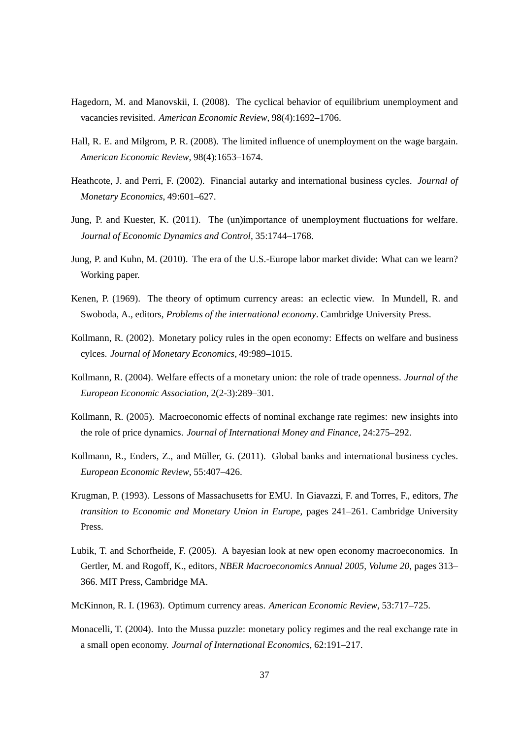- Hagedorn, M. and Manovskii, I. (2008). The cyclical behavior of equilibrium unemployment and vacancies revisited. *American Economic Review*, 98(4):1692–1706.
- Hall, R. E. and Milgrom, P. R. (2008). The limited influence of unemployment on the wage bargain. *American Economic Review*, 98(4):1653–1674.
- Heathcote, J. and Perri, F. (2002). Financial autarky and international business cycles. *Journal of Monetary Economics*, 49:601–627.
- Jung, P. and Kuester, K. (2011). The (un)importance of unemployment fluctuations for welfare. *Journal of Economic Dynamics and Control*, 35:1744–1768.
- Jung, P. and Kuhn, M. (2010). The era of the U.S.-Europe labor market divide: What can we learn? Working paper.
- Kenen, P. (1969). The theory of optimum currency areas: an eclectic view. In Mundell, R. and Swoboda, A., editors, *Problems of the international economy*. Cambridge University Press.
- Kollmann, R. (2002). Monetary policy rules in the open economy: Effects on welfare and business cylces. *Journal of Monetary Economics*, 49:989–1015.
- Kollmann, R. (2004). Welfare effects of a monetary union: the role of trade openness. *Journal of the European Economic Association*, 2(2-3):289–301.
- Kollmann, R. (2005). Macroeconomic effects of nominal exchange rate regimes: new insights into the role of price dynamics. *Journal of International Money and Finance*, 24:275–292.
- Kollmann, R., Enders, Z., and Müller, G. (2011). Global banks and international business cycles. *European Economic Review*, 55:407–426.
- Krugman, P. (1993). Lessons of Massachusetts for EMU. In Giavazzi, F. and Torres, F., editors, *The transition to Economic and Monetary Union in Europe*, pages 241–261. Cambridge University Press.
- Lubik, T. and Schorfheide, F. (2005). A bayesian look at new open economy macroeconomics. In Gertler, M. and Rogoff, K., editors, *NBER Macroeconomics Annual 2005, Volume 20*, pages 313– 366. MIT Press, Cambridge MA.
- McKinnon, R. I. (1963). Optimum currency areas. *American Economic Review*, 53:717–725.
- Monacelli, T. (2004). Into the Mussa puzzle: monetary policy regimes and the real exchange rate in a small open economy. *Journal of International Economics*, 62:191–217.